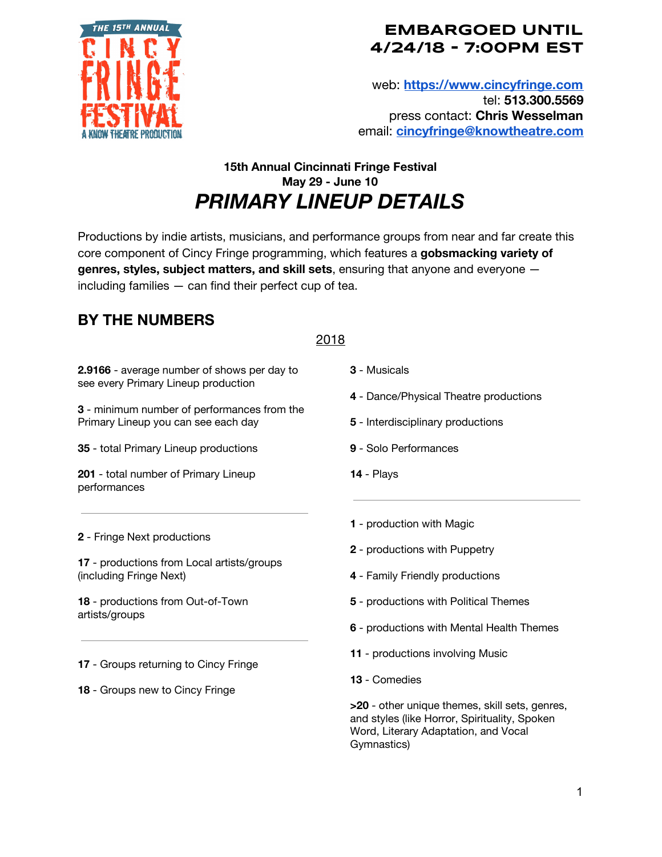

web: **[https://www.cincyfringe.com](https://www.cincyfringe.com/)** tel: **513.300.5569** press contact: **Chris Wesselman** email: **[cincyfringe@knowtheatre.com](mailto:cincyfringe@knowtheatre.com)**

## **15th Annual Cincinnati Fringe Festival May 29 - June 10** *PRIMARY LINEUP DETAILS*

Productions by indie artists, musicians, and performance groups from near and far create this core component of Cincy Fringe programming, which features a **gobsmacking variety of genres, styles, subject matters, and skill sets**, ensuring that anyone and everyone including families — can find their perfect cup of tea.

# **BY THE NUMBERS**

#### 2018

**2.9166** - average number of shows per day to see every Primary Lineup production

**3** - minimum number of performances from the Primary Lineup you can see each day

**35** - total Primary Lineup productions

**201** - total number of Primary Lineup performances

- **3** Musicals
- **4** Dance/Physical Theatre productions
- **5** Interdisciplinary productions
- **9** Solo Performances
- **14** Plays

**2** - Fringe Next productions

**17** - productions from Local artists/groups (including Fringe Next)

**18** - productions from Out-of-Town artists/groups

**17** - Groups returning to Cincy Fringe

**18** - Groups new to Cincy Fringe

- **1** production with Magic
- **2** productions with Puppetry
- **4** Family Friendly productions
- **5** productions with Political Themes
- **6** productions with Mental Health Themes
- **11** productions involving Music
- **13** Comedies

**>20** - other unique themes, skill sets, genres, and styles (like Horror, Spirituality, Spoken Word, Literary Adaptation, and Vocal Gymnastics)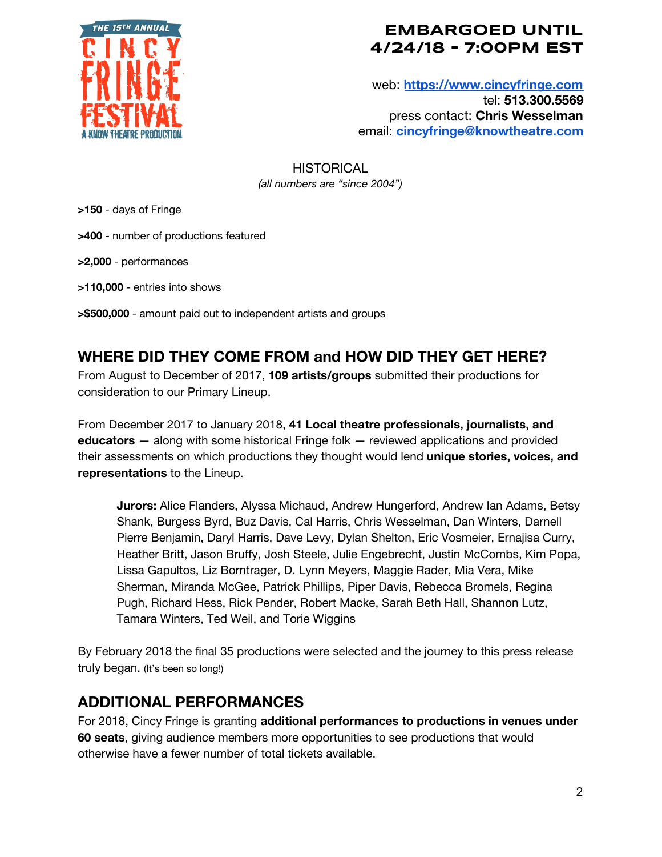

web: **[https://www.cincyfringe.com](https://www.cincyfringe.com/)** tel: **513.300.5569** press contact: **Chris Wesselman** email: **[cincyfringe@knowtheatre.com](mailto:cincyfringe@knowtheatre.com)**

**HISTORICAL** *(all numbers are "since 2004")*

**>150** - days of Fringe

**>400** - number of productions featured

**>2,000** - performances

**>110,000** - entries into shows

**>\$500,000** - amount paid out to independent artists and groups

## **WHERE DID THEY COME FROM and HOW DID THEY GET HERE?**

From August to December of 2017, **109 artists/groups** submitted their productions for consideration to our Primary Lineup.

From December 2017 to January 2018, **41 Local theatre professionals, journalists, and educators** — along with some historical Fringe folk — reviewed applications and provided their assessments on which productions they thought would lend **unique stories, voices, and representations** to the Lineup.

**Jurors:** Alice Flanders, Alyssa Michaud, Andrew Hungerford, Andrew Ian Adams, Betsy Shank, Burgess Byrd, Buz Davis, Cal Harris, Chris Wesselman, Dan Winters, Darnell Pierre Benjamin, Daryl Harris, Dave Levy, Dylan Shelton, Eric Vosmeier, Ernajisa Curry, Heather Britt, Jason Bruffy, Josh Steele, Julie Engebrecht, Justin McCombs, Kim Popa, Lissa Gapultos, Liz Borntrager, D. Lynn Meyers, Maggie Rader, Mia Vera, Mike Sherman, Miranda McGee, Patrick Phillips, Piper Davis, Rebecca Bromels, Regina Pugh, Richard Hess, Rick Pender, Robert Macke, Sarah Beth Hall, Shannon Lutz, Tamara Winters, Ted Weil, and Torie Wiggins

By February 2018 the final 35 productions were selected and the journey to this press release truly began. (It's been so long!)

#### **ADDITIONAL PERFORMANCES**

For 2018, Cincy Fringe is granting **additional performances to productions in venues under 60 seats**, giving audience members more opportunities to see productions that would otherwise have a fewer number of total tickets available.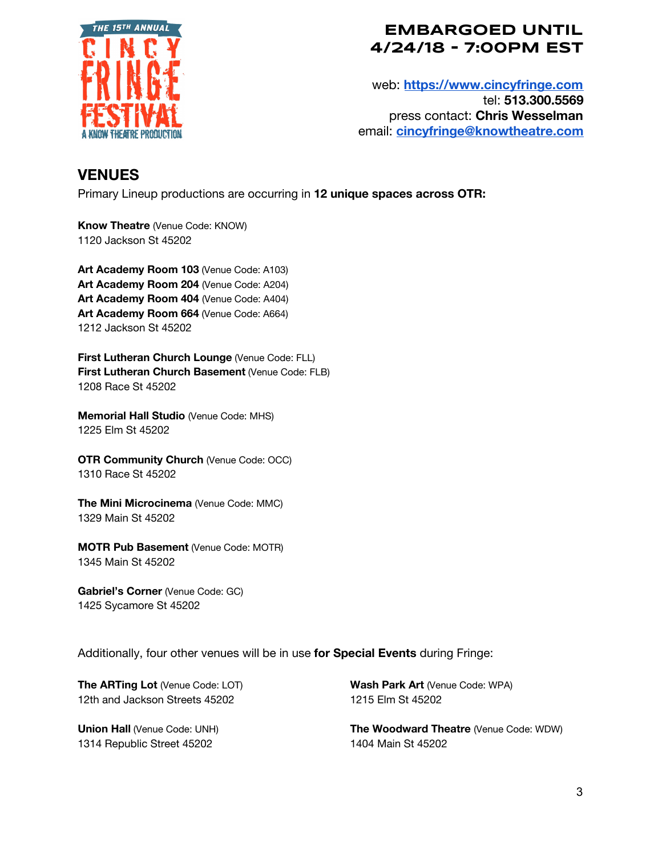

web: **[https://www.cincyfringe.com](https://www.cincyfringe.com/)** tel: **513.300.5569** press contact: **Chris Wesselman** email: **[cincyfringe@knowtheatre.com](mailto:cincyfringe@knowtheatre.com)**

## **VENUES**

Primary Lineup productions are occurring in **12 unique spaces across OTR:**

**Know Theatre** (Venue Code: KNOW) 1120 Jackson St 45202

**Art Academy Room 103** (Venue Code: A103) **Art Academy Room 204** (Venue Code: A204) **Art Academy Room 404** (Venue Code: A404) **Art Academy Room 664** (Venue Code: A664) 1212 Jackson St 45202

**First Lutheran Church Lounge** (Venue Code: FLL) **First Lutheran Church Basement** (Venue Code: FLB) 1208 Race St 45202

**Memorial Hall Studio** (Venue Code: MHS) 1225 Elm St 45202

**OTR Community Church** (Venue Code: OCC) 1310 Race St 45202

**The Mini Microcinema** (Venue Code: MMC) 1329 Main St 45202

**MOTR Pub Basement** (Venue Code: MOTR) 1345 Main St 45202

**Gabriel's Corner** (Venue Code: GC) 1425 Sycamore St 45202

Additionally, four other venues will be in use **for Special Events** during Fringe:

**The ARTing Lot** (Venue Code: LOT) 12th and Jackson Streets 45202

**Union Hall** (Venue Code: UNH) 1314 Republic Street 45202

**Wash Park Art** (Venue Code: WPA) 1215 Elm St 45202

**The Woodward Theatre** (Venue Code: WDW) 1404 Main St 45202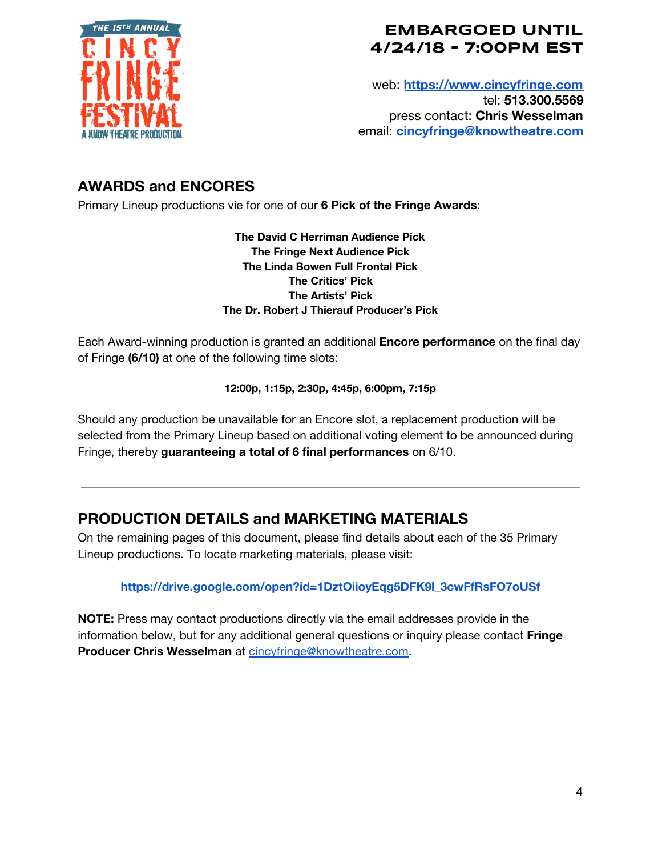

web: **[https://www.cincyfringe.com](https://www.cincyfringe.com/)** tel: **513.300.5569** press contact: **Chris Wesselman** email: **[cincyfringe@knowtheatre.com](mailto:cincyfringe@knowtheatre.com)**

## **AWARDS and ENCORES**

Primary Lineup productions vie for one of our **6 Pick of the Fringe Awards**:

**The David C Herriman Audience Pick The Fringe Next Audience Pick The Linda Bowen Full Frontal Pick The Critics' Pick The Artists' Pick The Dr. Robert J Thierauf Producer's Pick**

Each Award-winning production is granted an additional **Encore performance** on the final day of Fringe **(6/10)** at one of the following time slots:

**12:00p, 1:15p, 2:30p, 4:45p, 6:00pm, 7:15p**

Should any production be unavailable for an Encore slot, a replacement production will be selected from the Primary Lineup based on additional voting element to be announced during Fringe, thereby **guaranteeing a total of 6 final performances** on 6/10.

## **PRODUCTION DETAILS and MARKETING MATERIALS**

On the remaining pages of this document, please find details about each of the 35 Primary Lineup productions. To locate marketing materials, please visit:

**[https://drive.google.com/open?id=1DztOiioyEqg5DFK9l\\_3cwFfRsFO7oUSf](https://drive.google.com/open?id=1DztOiioyEqg5DFK9l_3cwFfRsFO7oUSf)**

**NOTE:** Press may contact productions directly via the email addresses provide in the information below, but for any additional general questions or inquiry please contact **Fringe Producer Chris Wesselman** at [cincyfringe@knowtheatre.com.](mailto:cincyfringe@knowtheatre.com)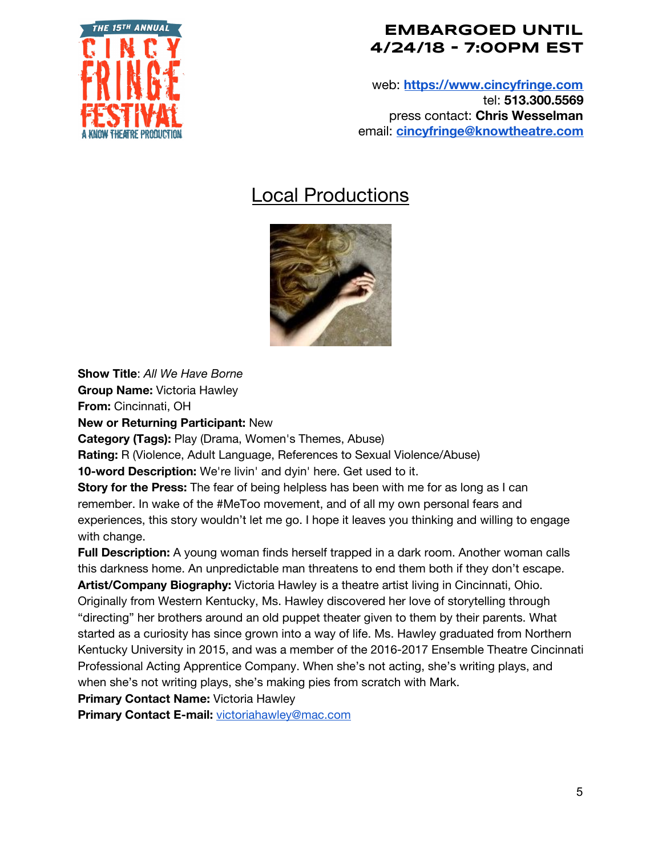

web: **[https://www.cincyfringe.com](https://www.cincyfringe.com/)** tel: **513.300.5569** press contact: **Chris Wesselman** email: **[cincyfringe@knowtheatre.com](mailto:cincyfringe@knowtheatre.com)**

# Local Productions



**Show Title**: *All We Have Borne*

**Group Name:** Victoria Hawley **From:** Cincinnati, OH

**New or Returning Participant:** New

**Category (Tags):** Play (Drama, Women's Themes, Abuse)

**Rating:** R (Violence, Adult Language, References to Sexual Violence/Abuse)

**10-word Description:** We're livin' and dyin' here. Get used to it.

**Story for the Press:** The fear of being helpless has been with me for as long as I can remember. In wake of the #MeToo movement, and of all my own personal fears and experiences, this story wouldn't let me go. I hope it leaves you thinking and willing to engage with change.

**Full Description:** A young woman finds herself trapped in a dark room. Another woman calls this darkness home. An unpredictable man threatens to end them both if they don't escape. **Artist/Company Biography:** Victoria Hawley is a theatre artist living in Cincinnati, Ohio. Originally from Western Kentucky, Ms. Hawley discovered her love of storytelling through "directing" her brothers around an old puppet theater given to them by their parents. What started as a curiosity has since grown into a way of life. Ms. Hawley graduated from Northern Kentucky University in 2015, and was a member of the 2016-2017 Ensemble Theatre Cincinnati Professional Acting Apprentice Company. When she's not acting, she's writing plays, and

when she's not writing plays, she's making pies from scratch with Mark.

**Primary Contact Name:** Victoria Hawley

**Primary Contact E-mail:** [victoriahawley@mac.com](mailto:victoriahawley@mac.com)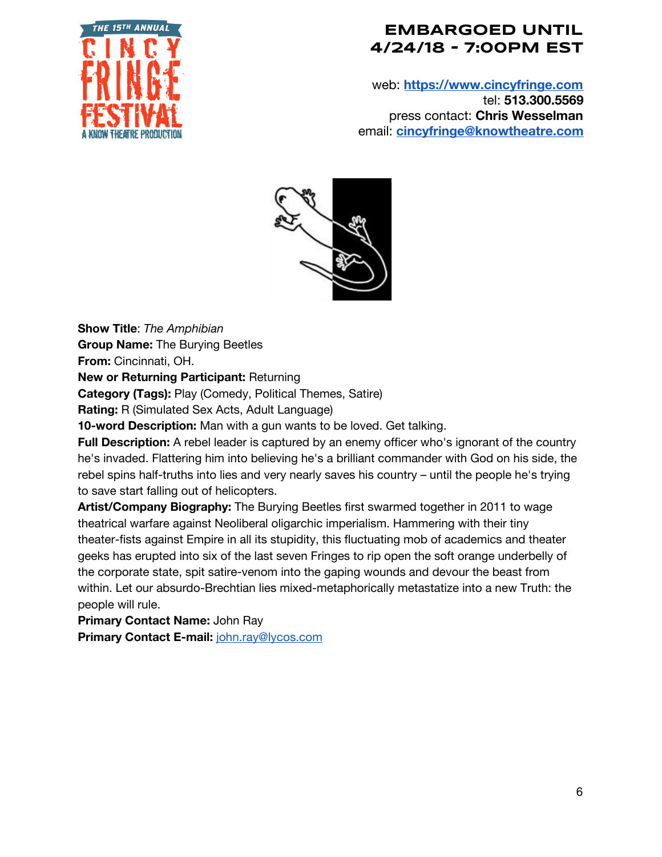

web: **[https://www.cincyfringe.com](https://www.cincyfringe.com/)** tel: **513.300.5569** press contact: **Chris Wesselman** email: **[cincyfringe@knowtheatre.com](mailto:cincyfringe@knowtheatre.com)**



**Show Title**: *The Amphibian* **Group Name:** The Burying Beetles **From:** Cincinnati, OH.

**New or Returning Participant:** Returning

**Category (Tags):** Play (Comedy, Political Themes, Satire)

**Rating:** R (Simulated Sex Acts, Adult Language)

**10-word Description:** Man with a gun wants to be loved. Get talking.

**Full Description:** A rebel leader is captured by an enemy officer who's ignorant of the country he's invaded. Flattering him into believing he's a brilliant commander with God on his side, the rebel spins half-truths into lies and very nearly saves his country – until the people he's trying to save start falling out of helicopters.

**Artist/Company Biography:** The Burying Beetles first swarmed together in 2011 to wage theatrical warfare against Neoliberal oligarchic imperialism. Hammering with their tiny theater-fists against Empire in all its stupidity, this fluctuating mob of academics and theater geeks has erupted into six of the last seven Fringes to rip open the soft orange underbelly of the corporate state, spit satire-venom into the gaping wounds and devour the beast from within. Let our absurdo-Brechtian lies mixed-metaphorically metastatize into a new Truth: the people will rule.

**Primary Contact Name:** John Ray

**Primary Contact E-mail:** [john.ray@lycos.com](mailto:john.ray@lycos.com)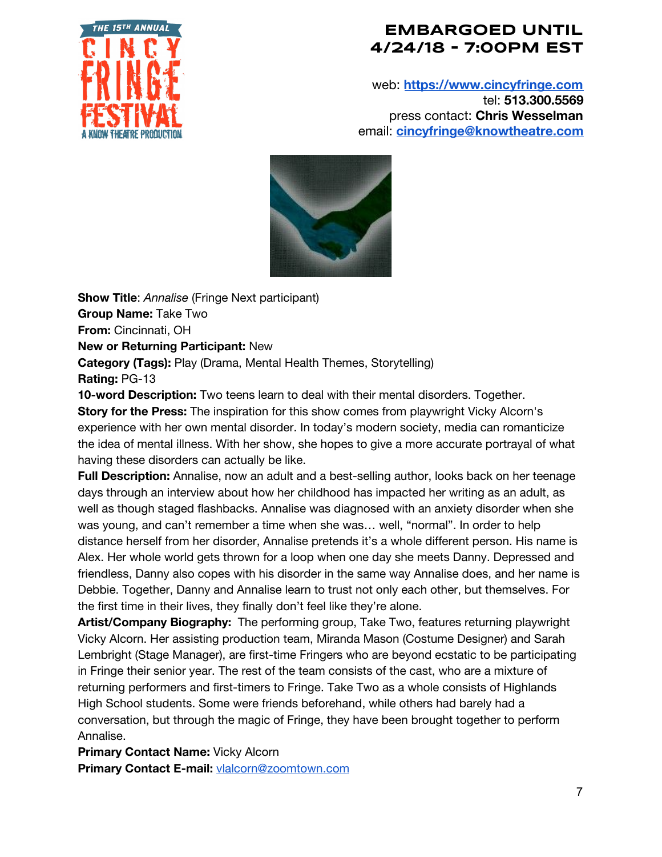

web: **[https://www.cincyfringe.com](https://www.cincyfringe.com/)** tel: **513.300.5569** press contact: **Chris Wesselman** email: **[cincyfringe@knowtheatre.com](mailto:cincyfringe@knowtheatre.com)**



**Show Title**: *Annalise* (Fringe Next participant) **Group Name:** Take Two **From:** Cincinnati, OH **New or Returning Participant:** New **Category (Tags):** Play (Drama, Mental Health Themes, Storytelling) **Rating:** PG-13

**10-word Description:** Two teens learn to deal with their mental disorders. Together. **Story for the Press:** The inspiration for this show comes from playwright Vicky Alcorn's experience with her own mental disorder. In today's modern society, media can romanticize the idea of mental illness. With her show, she hopes to give a more accurate portrayal of what having these disorders can actually be like.

**Full Description:** Annalise, now an adult and a best-selling author, looks back on her teenage days through an interview about how her childhood has impacted her writing as an adult, as well as though staged flashbacks. Annalise was diagnosed with an anxiety disorder when she was young, and can't remember a time when she was… well, "normal". In order to help distance herself from her disorder, Annalise pretends it's a whole different person. His name is Alex. Her whole world gets thrown for a loop when one day she meets Danny. Depressed and friendless, Danny also copes with his disorder in the same way Annalise does, and her name is Debbie. Together, Danny and Annalise learn to trust not only each other, but themselves. For the first time in their lives, they finally don't feel like they're alone.

**Artist/Company Biography:** The performing group, Take Two, features returning playwright Vicky Alcorn. Her assisting production team, Miranda Mason (Costume Designer) and Sarah Lembright (Stage Manager), are first-time Fringers who are beyond ecstatic to be participating in Fringe their senior year. The rest of the team consists of the cast, who are a mixture of returning performers and first-timers to Fringe. Take Two as a whole consists of Highlands High School students. Some were friends beforehand, while others had barely had a conversation, but through the magic of Fringe, they have been brought together to perform Annalise.

**Primary Contact Name:** Vicky Alcorn **Primary Contact E-mail:** [vlalcorn@zoomtown.com](mailto:vlalcorn@zoomtown.com)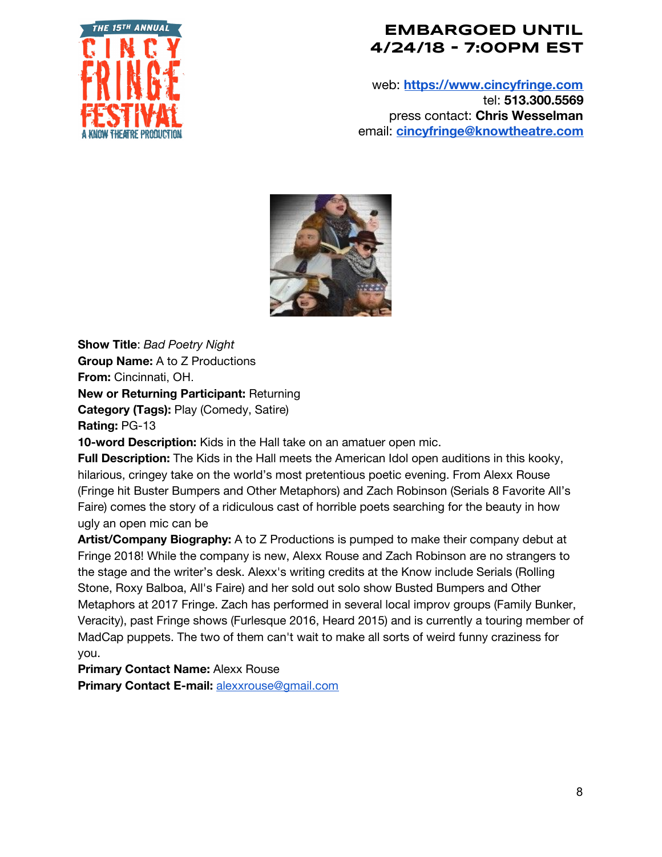

web: **[https://www.cincyfringe.com](https://www.cincyfringe.com/)** tel: **513.300.5569** press contact: **Chris Wesselman** email: **[cincyfringe@knowtheatre.com](mailto:cincyfringe@knowtheatre.com)**



**Show Title**: *Bad Poetry Night* **Group Name:** A to Z Productions **From:** Cincinnati, OH. **New or Returning Participant:** Returning **Category (Tags):** Play (Comedy, Satire) **Rating:** PG-13 **10-word Description:** Kids in the Hall take on an amatuer open mic.

**Full Description:** The Kids in the Hall meets the American Idol open auditions in this kooky, hilarious, cringey take on the world's most pretentious poetic evening. From Alexx Rouse (Fringe hit Buster Bumpers and Other Metaphors) and Zach Robinson (Serials 8 Favorite All's Faire) comes the story of a ridiculous cast of horrible poets searching for the beauty in how ugly an open mic can be

**Artist/Company Biography:** A to Z Productions is pumped to make their company debut at Fringe 2018! While the company is new, Alexx Rouse and Zach Robinson are no strangers to the stage and the writer's desk. Alexx's writing credits at the Know include Serials (Rolling Stone, Roxy Balboa, All's Faire) and her sold out solo show Busted Bumpers and Other Metaphors at 2017 Fringe. Zach has performed in several local improv groups (Family Bunker, Veracity), past Fringe shows (Furlesque 2016, Heard 2015) and is currently a touring member of MadCap puppets. The two of them can't wait to make all sorts of weird funny craziness for you.

**Primary Contact Name:** Alexx Rouse

**Primary Contact E-mail:** [alexxrouse@gmail.com](mailto:alexxrouse@gmail.com)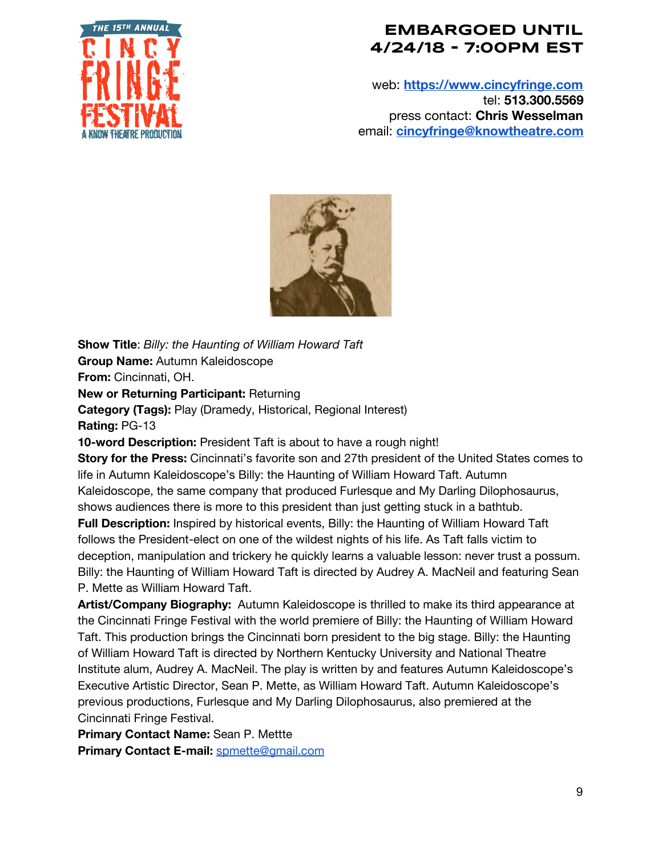

web: **[https://www.cincyfringe.com](https://www.cincyfringe.com/)** tel: **513.300.5569** press contact: **Chris Wesselman** email: **[cincyfringe@knowtheatre.com](mailto:cincyfringe@knowtheatre.com)**



**Show Title**: *Billy: the Haunting of William Howard Taft* **Group Name:** Autumn Kaleidoscope **From:** Cincinnati, OH.

**New or Returning Participant:** Returning

**Category (Tags):** Play (Dramedy, Historical, Regional Interest)

**Rating:** PG-13

**10-word Description:** President Taft is about to have a rough night!

**Story for the Press:** Cincinnati's favorite son and 27th president of the United States comes to life in Autumn Kaleidoscope's Billy: the Haunting of William Howard Taft. Autumn Kaleidoscope, the same company that produced Furlesque and My Darling Dilophosaurus, shows audiences there is more to this president than just getting stuck in a bathtub.

**Full Description:** Inspired by historical events, Billy: the Haunting of William Howard Taft follows the President-elect on one of the wildest nights of his life. As Taft falls victim to deception, manipulation and trickery he quickly learns a valuable lesson: never trust a possum. Billy: the Haunting of William Howard Taft is directed by Audrey A. MacNeil and featuring Sean P. Mette as William Howard Taft.

**Artist/Company Biography:** Autumn Kaleidoscope is thrilled to make its third appearance at the Cincinnati Fringe Festival with the world premiere of Billy: the Haunting of William Howard Taft. This production brings the Cincinnati born president to the big stage. Billy: the Haunting of William Howard Taft is directed by Northern Kentucky University and National Theatre Institute alum, Audrey A. MacNeil. The play is written by and features Autumn Kaleidoscope's Executive Artistic Director, Sean P. Mette, as William Howard Taft. Autumn Kaleidoscope's previous productions, Furlesque and My Darling Dilophosaurus, also premiered at the Cincinnati Fringe Festival.

**Primary Contact Name:** Sean P. Mettte **Primary Contact E-mail:** [spmette@gmail.com](mailto:spmette@gmail.com)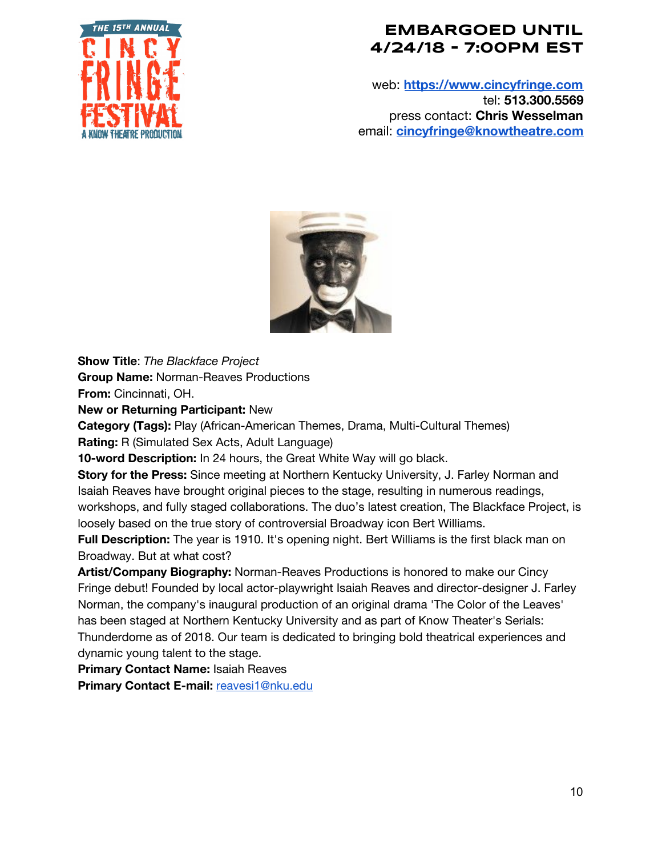

web: **[https://www.cincyfringe.com](https://www.cincyfringe.com/)** tel: **513.300.5569** press contact: **Chris Wesselman** email: **[cincyfringe@knowtheatre.com](mailto:cincyfringe@knowtheatre.com)**



**Show Title**: *The Blackface Project*

**Group Name:** Norman-Reaves Productions

**From:** Cincinnati, OH.

**New or Returning Participant:** New

**Category (Tags):** Play (African-American Themes, Drama, Multi-Cultural Themes) **Rating:** R (Simulated Sex Acts, Adult Language)

**10-word Description:** In 24 hours, the Great White Way will go black.

**Story for the Press:** Since meeting at Northern Kentucky University, J. Farley Norman and Isaiah Reaves have brought original pieces to the stage, resulting in numerous readings, workshops, and fully staged collaborations. The duo's latest creation, The Blackface Project, is loosely based on the true story of controversial Broadway icon Bert Williams.

**Full Description:** The year is 1910. It's opening night. Bert Williams is the first black man on Broadway. But at what cost?

**Artist/Company Biography:** Norman-Reaves Productions is honored to make our Cincy Fringe debut! Founded by local actor-playwright Isaiah Reaves and director-designer J. Farley Norman, the company's inaugural production of an original drama 'The Color of the Leaves' has been staged at Northern Kentucky University and as part of Know Theater's Serials: Thunderdome as of 2018. Our team is dedicated to bringing bold theatrical experiences and dynamic young talent to the stage.

**Primary Contact Name:** Isaiah Reaves

**Primary Contact E-mail:** [reavesi1@nku.edu](mailto:reavesi1@nku.edu)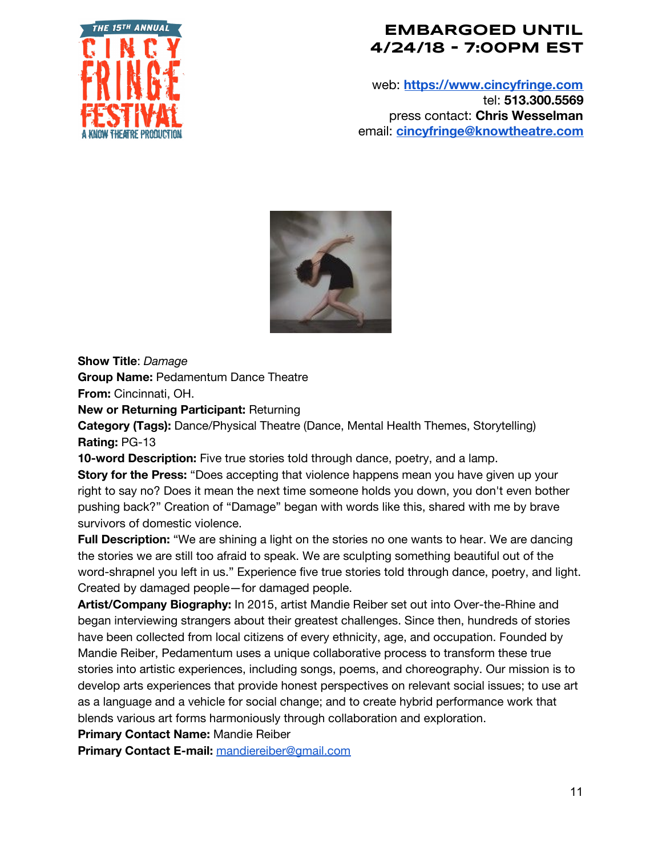

web: **[https://www.cincyfringe.com](https://www.cincyfringe.com/)** tel: **513.300.5569** press contact: **Chris Wesselman** email: **[cincyfringe@knowtheatre.com](mailto:cincyfringe@knowtheatre.com)**



**Show Title**: *Damage*

**Group Name:** Pedamentum Dance Theatre

**From:** Cincinnati, OH.

**New or Returning Participant:** Returning

**Category (Tags):** Dance/Physical Theatre (Dance, Mental Health Themes, Storytelling) **Rating:** PG-13

**10-word Description:** Five true stories told through dance, poetry, and a lamp.

**Story for the Press:** "Does accepting that violence happens mean you have given up your right to say no? Does it mean the next time someone holds you down, you don't even bother pushing back?" Creation of "Damage" began with words like this, shared with me by brave survivors of domestic violence.

**Full Description:** "We are shining a light on the stories no one wants to hear. We are dancing the stories we are still too afraid to speak. We are sculpting something beautiful out of the word-shrapnel you left in us." Experience five true stories told through dance, poetry, and light. Created by damaged people—for damaged people.

**Artist/Company Biography:** In 2015, artist Mandie Reiber set out into Over-the-Rhine and began interviewing strangers about their greatest challenges. Since then, hundreds of stories have been collected from local citizens of every ethnicity, age, and occupation. Founded by Mandie Reiber, Pedamentum uses a unique collaborative process to transform these true stories into artistic experiences, including songs, poems, and choreography. Our mission is to develop arts experiences that provide honest perspectives on relevant social issues; to use art as a language and a vehicle for social change; and to create hybrid performance work that blends various art forms harmoniously through collaboration and exploration.

**Primary Contact Name:** Mandie Reiber

**Primary Contact E-mail:** [mandiereiber@gmail.com](mailto:mandiereiber@gmail.com)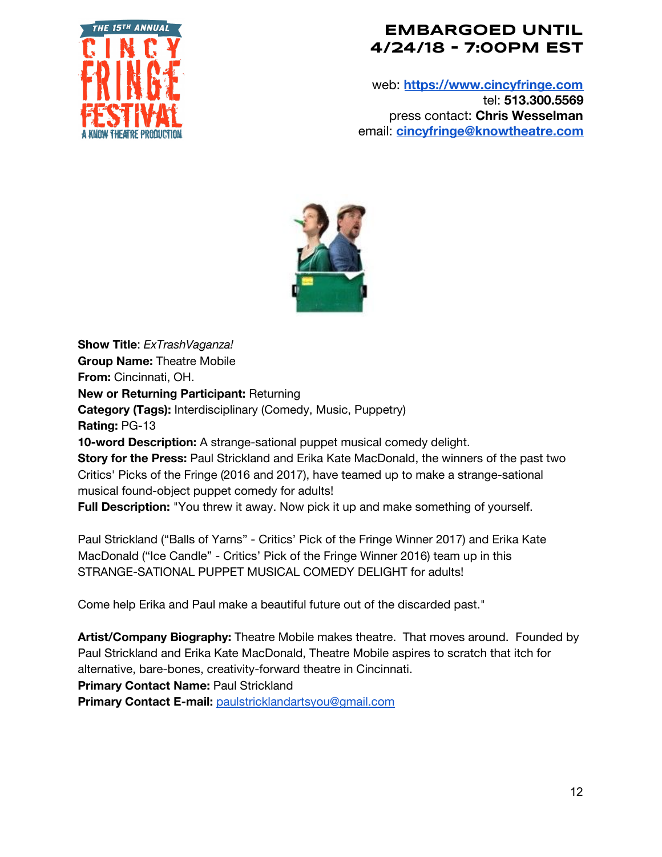

web: **[https://www.cincyfringe.com](https://www.cincyfringe.com/)** tel: **513.300.5569** press contact: **Chris Wesselman** email: **[cincyfringe@knowtheatre.com](mailto:cincyfringe@knowtheatre.com)**



**Show Title**: *ExTrashVaganza!* **Group Name:** Theatre Mobile **From:** Cincinnati, OH. **New or Returning Participant:** Returning **Category (Tags):** Interdisciplinary (Comedy, Music, Puppetry) **Rating:** PG-13 **10-word Description:** A strange-sational puppet musical comedy delight. **Story for the Press:** Paul Strickland and Erika Kate MacDonald, the winners of the past two Critics' Picks of the Fringe (2016 and 2017), have teamed up to make a strange-sational musical found-object puppet comedy for adults! **Full Description:** "You threw it away. Now pick it up and make something of yourself.

Paul Strickland ("Balls of Yarns" - Critics' Pick of the Fringe Winner 2017) and Erika Kate MacDonald ("Ice Candle" - Critics' Pick of the Fringe Winner 2016) team up in this STRANGE-SATIONAL PUPPET MUSICAL COMEDY DELIGHT for adults!

Come help Erika and Paul make a beautiful future out of the discarded past."

**Artist/Company Biography:** Theatre Mobile makes theatre. That moves around. Founded by Paul Strickland and Erika Kate MacDonald, Theatre Mobile aspires to scratch that itch for alternative, bare-bones, creativity-forward theatre in Cincinnati.

**Primary Contact Name:** Paul Strickland

**Primary Contact E-mail:** [paulstricklandartsyou@gmail.com](mailto:paulstricklandartsyou@gmail.com)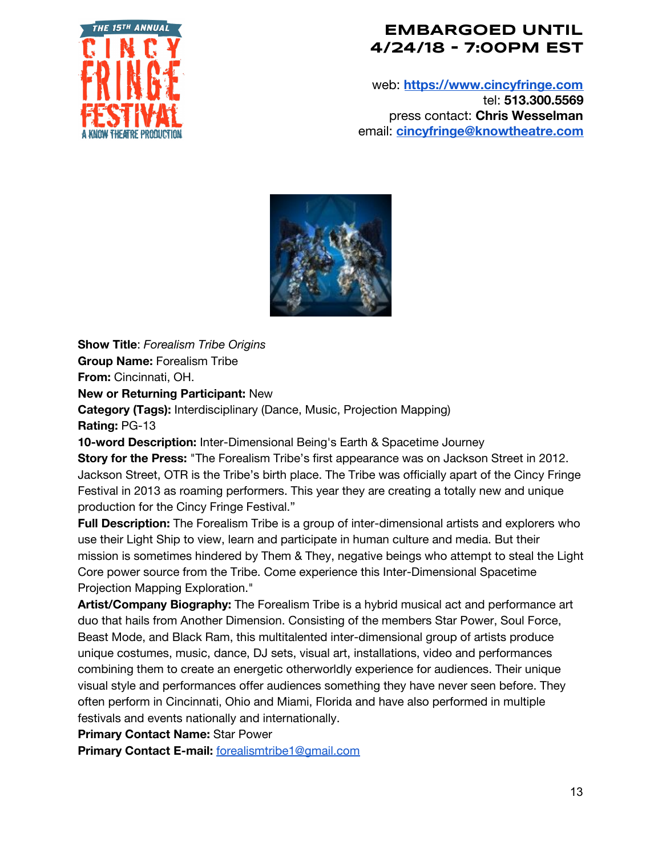

web: **[https://www.cincyfringe.com](https://www.cincyfringe.com/)** tel: **513.300.5569** press contact: **Chris Wesselman** email: **[cincyfringe@knowtheatre.com](mailto:cincyfringe@knowtheatre.com)**



**Show Title**: *Forealism Tribe Origins* **Group Name:** Forealism Tribe

**From:** Cincinnati, OH.

**New or Returning Participant:** New

**Category (Tags):** Interdisciplinary (Dance, Music, Projection Mapping)

**Rating:** PG-13

**10-word Description:** Inter-Dimensional Being's Earth & Spacetime Journey

**Story for the Press:** "The Forealism Tribe's first appearance was on Jackson Street in 2012. Jackson Street, OTR is the Tribe's birth place. The Tribe was officially apart of the Cincy Fringe Festival in 2013 as roaming performers. This year they are creating a totally new and unique production for the Cincy Fringe Festival."

**Full Description:** The Forealism Tribe is a group of inter-dimensional artists and explorers who use their Light Ship to view, learn and participate in human culture and media. But their mission is sometimes hindered by Them & They, negative beings who attempt to steal the Light Core power source from the Tribe. Come experience this Inter-Dimensional Spacetime Projection Mapping Exploration."

**Artist/Company Biography:** The Forealism Tribe is a hybrid musical act and performance art duo that hails from Another Dimension. Consisting of the members Star Power, Soul Force, Beast Mode, and Black Ram, this multitalented inter-dimensional group of artists produce unique costumes, music, dance, DJ sets, visual art, installations, video and performances combining them to create an energetic otherworldly experience for audiences. Their unique visual style and performances offer audiences something they have never seen before. They often perform in Cincinnati, Ohio and Miami, Florida and have also performed in multiple festivals and events nationally and internationally.

**Primary Contact Name:** Star Power

**Primary Contact E-mail:** [forealismtribe1@gmail.com](mailto:forealismtribe1@gmail.com)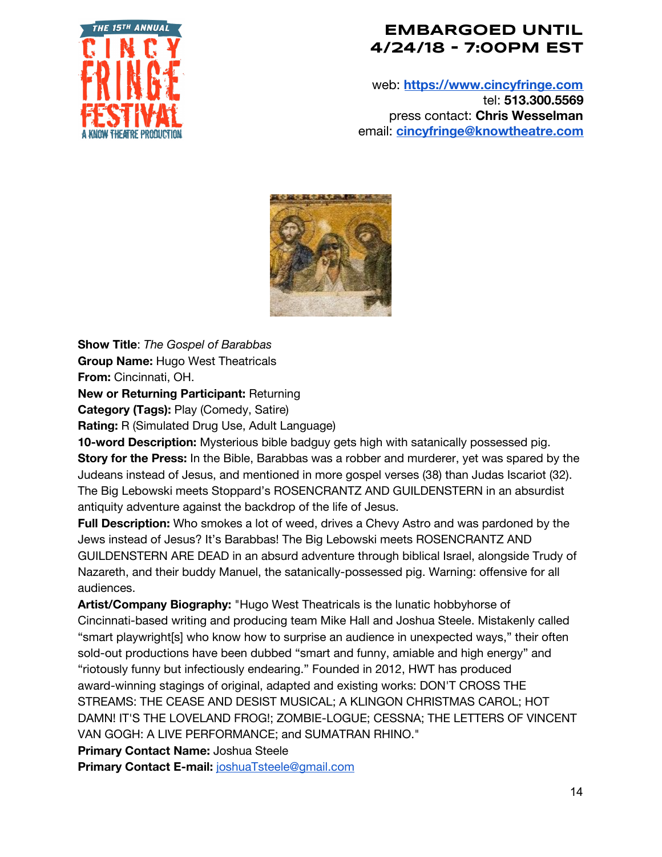

web: **[https://www.cincyfringe.com](https://www.cincyfringe.com/)** tel: **513.300.5569** press contact: **Chris Wesselman** email: **[cincyfringe@knowtheatre.com](mailto:cincyfringe@knowtheatre.com)**



**Show Title**: *The Gospel of Barabbas* **Group Name:** Hugo West Theatricals

**From:** Cincinnati, OH.

**New or Returning Participant:** Returning

**Category (Tags):** Play (Comedy, Satire)

**Rating:** R (Simulated Drug Use, Adult Language)

**10-word Description:** Mysterious bible badguy gets high with satanically possessed pig. **Story for the Press:** In the Bible, Barabbas was a robber and murderer, yet was spared by the Judeans instead of Jesus, and mentioned in more gospel verses (38) than Judas Iscariot (32). The Big Lebowski meets Stoppard's ROSENCRANTZ AND GUILDENSTERN in an absurdist antiquity adventure against the backdrop of the life of Jesus.

**Full Description:** Who smokes a lot of weed, drives a Chevy Astro and was pardoned by the Jews instead of Jesus? It's Barabbas! The Big Lebowski meets ROSENCRANTZ AND GUILDENSTERN ARE DEAD in an absurd adventure through biblical Israel, alongside Trudy of Nazareth, and their buddy Manuel, the satanically-possessed pig. Warning: offensive for all audiences.

**Artist/Company Biography:** "Hugo West Theatricals is the lunatic hobbyhorse of Cincinnati-based writing and producing team Mike Hall and Joshua Steele. Mistakenly called "smart playwright[s] who know how to surprise an audience in unexpected ways," their often sold-out productions have been dubbed "smart and funny, amiable and high energy" and "riotously funny but infectiously endearing." Founded in 2012, HWT has produced award-winning stagings of original, adapted and existing works: DON'T CROSS THE STREAMS: THE CEASE AND DESIST MUSICAL; A KLINGON CHRISTMAS CAROL; HOT DAMN! IT'S THE LOVELAND FROG!; ZOMBIE-LOGUE; CESSNA; THE LETTERS OF VINCENT VAN GOGH: A LIVE PERFORMANCE; and SUMATRAN RHINO."

**Primary Contact Name:** Joshua Steele

**Primary Contact E-mail:** [joshuaTsteele@gmail.com](mailto:joshuaTsteele@gmail.com)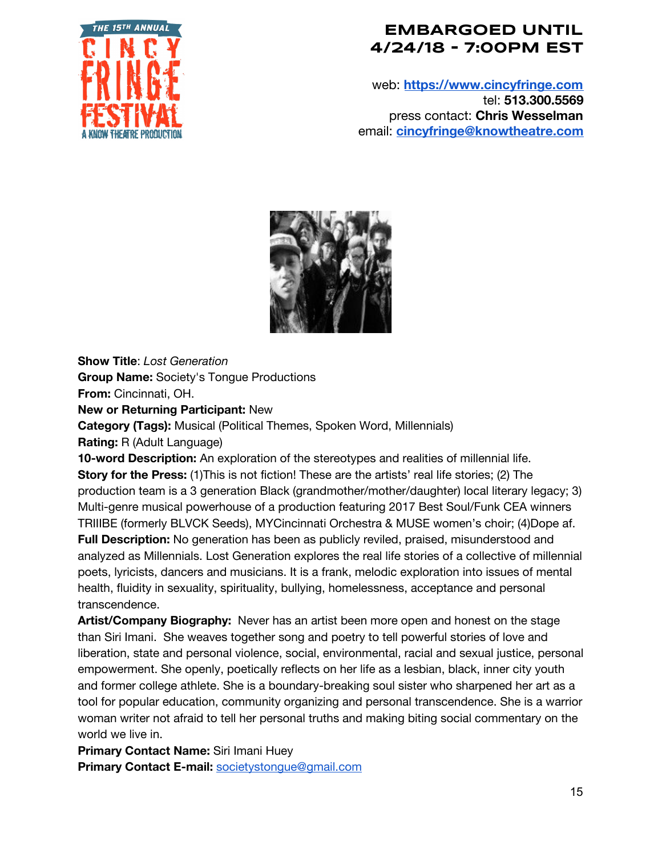

web: **[https://www.cincyfringe.com](https://www.cincyfringe.com/)** tel: **513.300.5569** press contact: **Chris Wesselman** email: **[cincyfringe@knowtheatre.com](mailto:cincyfringe@knowtheatre.com)**



**Show Title**: *Lost Generation*

**Group Name:** Society's Tongue Productions

**From:** Cincinnati, OH.

**New or Returning Participant:** New

**Category (Tags):** Musical (Political Themes, Spoken Word, Millennials)

**Rating:** R (Adult Language)

**10-word Description:** An exploration of the stereotypes and realities of millennial life. **Story for the Press:** (1)This is not fiction! These are the artists' real life stories; (2) The production team is a 3 generation Black (grandmother/mother/daughter) local literary legacy; 3) Multi-genre musical powerhouse of a production featuring 2017 Best Soul/Funk CEA winners TRIIIBE (formerly BLVCK Seeds), MYCincinnati Orchestra & MUSE women's choir; (4)Dope af. **Full Description:** No generation has been as publicly reviled, praised, misunderstood and analyzed as Millennials. Lost Generation explores the real life stories of a collective of millennial poets, lyricists, dancers and musicians. It is a frank, melodic exploration into issues of mental health, fluidity in sexuality, spirituality, bullying, homelessness, acceptance and personal transcendence.

**Artist/Company Biography:** Never has an artist been more open and honest on the stage than Siri Imani. She weaves together song and poetry to tell powerful stories of love and liberation, state and personal violence, social, environmental, racial and sexual justice, personal empowerment. She openly, poetically reflects on her life as a lesbian, black, inner city youth and former college athlete. She is a boundary-breaking soul sister who sharpened her art as a tool for popular education, community organizing and personal transcendence. She is a warrior woman writer not afraid to tell her personal truths and making biting social commentary on the world we live in.

**Primary Contact Name:** Siri Imani Huey **Primary Contact E-mail:** [societystongue@gmail.com](mailto:societystongue@gmail.com)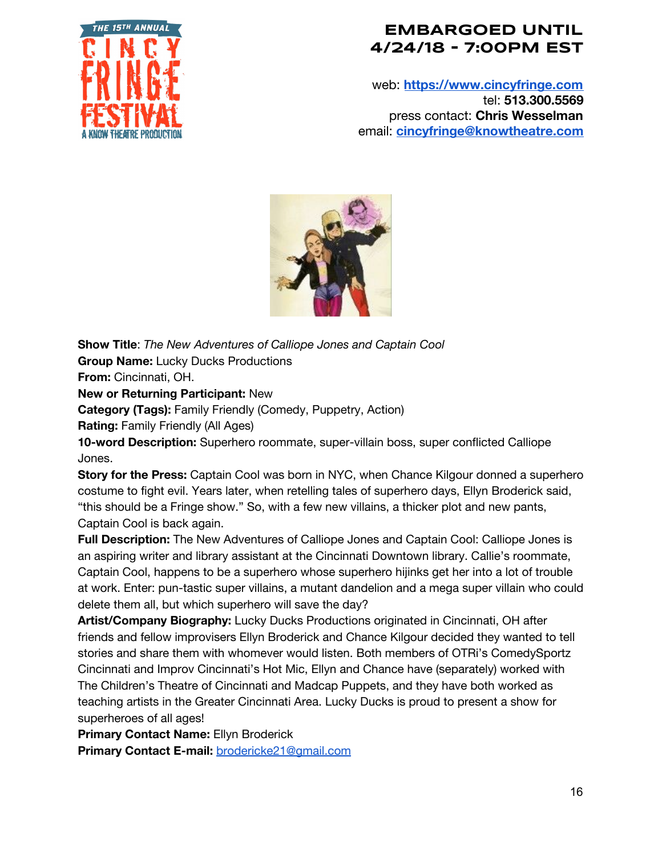

web: **[https://www.cincyfringe.com](https://www.cincyfringe.com/)** tel: **513.300.5569** press contact: **Chris Wesselman** email: **[cincyfringe@knowtheatre.com](mailto:cincyfringe@knowtheatre.com)**



**Show Title**: *The New Adventures of Calliope Jones and Captain Cool* **Group Name:** Lucky Ducks Productions

**From:** Cincinnati, OH.

**New or Returning Participant:** New

**Category (Tags):** Family Friendly (Comedy, Puppetry, Action)

**Rating:** Family Friendly (All Ages)

**10-word Description:** Superhero roommate, super-villain boss, super conflicted Calliope Jones.

**Story for the Press:** Captain Cool was born in NYC, when Chance Kilgour donned a superhero costume to fight evil. Years later, when retelling tales of superhero days, Ellyn Broderick said, "this should be a Fringe show." So, with a few new villains, a thicker plot and new pants, Captain Cool is back again.

**Full Description:** The New Adventures of Calliope Jones and Captain Cool: Calliope Jones is an aspiring writer and library assistant at the Cincinnati Downtown library. Callie's roommate, Captain Cool, happens to be a superhero whose superhero hijinks get her into a lot of trouble at work. Enter: pun-tastic super villains, a mutant dandelion and a mega super villain who could delete them all, but which superhero will save the day?

**Artist/Company Biography:** Lucky Ducks Productions originated in Cincinnati, OH after friends and fellow improvisers Ellyn Broderick and Chance Kilgour decided they wanted to tell stories and share them with whomever would listen. Both members of OTRi's ComedySportz Cincinnati and Improv Cincinnati's Hot Mic, Ellyn and Chance have (separately) worked with The Children's Theatre of Cincinnati and Madcap Puppets, and they have both worked as teaching artists in the Greater Cincinnati Area. Lucky Ducks is proud to present a show for superheroes of all ages!

**Primary Contact Name:** Ellyn Broderick **Primary Contact E-mail:** [brodericke21@gmail.com](mailto:brodericke21@gmail.com)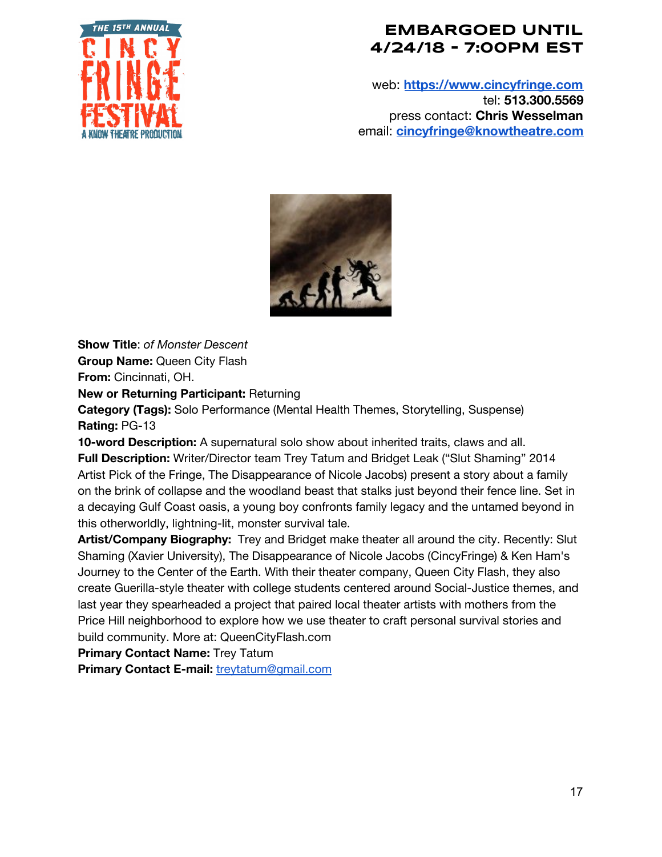

web: **[https://www.cincyfringe.com](https://www.cincyfringe.com/)** tel: **513.300.5569** press contact: **Chris Wesselman** email: **[cincyfringe@knowtheatre.com](mailto:cincyfringe@knowtheatre.com)**



**Show Title**: *of Monster Descent* **Group Name:** Queen City Flash **From:** Cincinnati, OH.

**New or Returning Participant:** Returning

**Category (Tags):** Solo Performance (Mental Health Themes, Storytelling, Suspense) **Rating:** PG-13

**10-word Description:** A supernatural solo show about inherited traits, claws and all. **Full Description:** Writer/Director team Trey Tatum and Bridget Leak ("Slut Shaming" 2014 Artist Pick of the Fringe, The Disappearance of Nicole Jacobs) present a story about a family on the brink of collapse and the woodland beast that stalks just beyond their fence line. Set in a decaying Gulf Coast oasis, a young boy confronts family legacy and the untamed beyond in this otherworldly, lightning-lit, monster survival tale.

**Artist/Company Biography:** Trey and Bridget make theater all around the city. Recently: Slut Shaming (Xavier University), The Disappearance of Nicole Jacobs (CincyFringe) & Ken Ham's Journey to the Center of the Earth. With their theater company, Queen City Flash, they also create Guerilla-style theater with college students centered around Social-Justice themes, and last year they spearheaded a project that paired local theater artists with mothers from the Price Hill neighborhood to explore how we use theater to craft personal survival stories and build community. More at: QueenCityFlash.com

**Primary Contact Name:** Trey Tatum

**Primary Contact E-mail:** [treytatum@gmail.com](mailto:treytatum@gmail.com)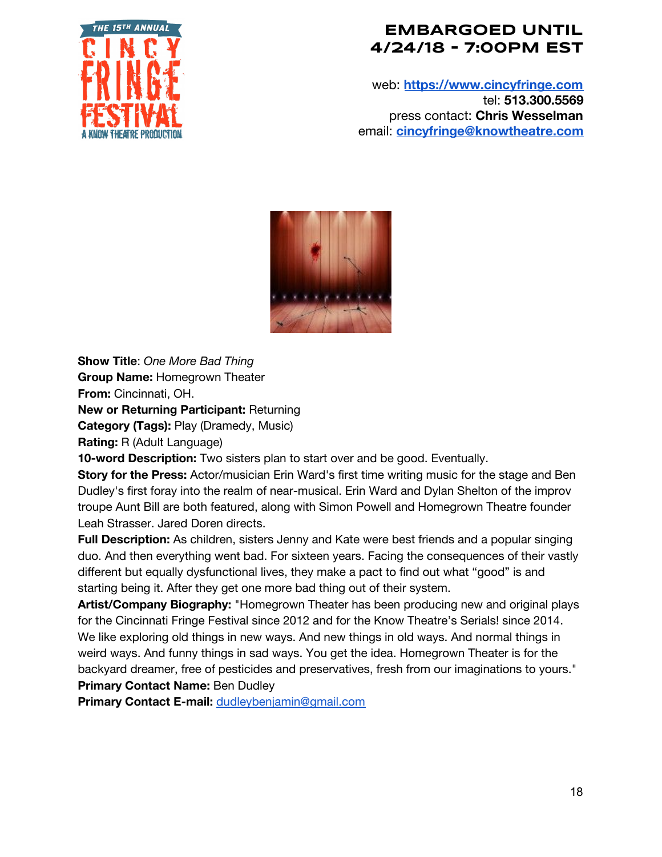

web: **[https://www.cincyfringe.com](https://www.cincyfringe.com/)** tel: **513.300.5569** press contact: **Chris Wesselman** email: **[cincyfringe@knowtheatre.com](mailto:cincyfringe@knowtheatre.com)**



**Show Title**: *One More Bad Thing* **Group Name:** Homegrown Theater

**From:** Cincinnati, OH.

**New or Returning Participant:** Returning

**Category (Tags):** Play (Dramedy, Music)

**Rating:** R (Adult Language)

**10-word Description:** Two sisters plan to start over and be good. Eventually.

**Story for the Press:** Actor/musician Erin Ward's first time writing music for the stage and Ben Dudley's first foray into the realm of near-musical. Erin Ward and Dylan Shelton of the improv troupe Aunt Bill are both featured, along with Simon Powell and Homegrown Theatre founder Leah Strasser. Jared Doren directs.

**Full Description:** As children, sisters Jenny and Kate were best friends and a popular singing duo. And then everything went bad. For sixteen years. Facing the consequences of their vastly different but equally dysfunctional lives, they make a pact to find out what "good" is and starting being it. After they get one more bad thing out of their system.

**Artist/Company Biography:** "Homegrown Theater has been producing new and original plays for the Cincinnati Fringe Festival since 2012 and for the Know Theatre's Serials! since 2014. We like exploring old things in new ways. And new things in old ways. And normal things in weird ways. And funny things in sad ways. You get the idea. Homegrown Theater is for the backyard dreamer, free of pesticides and preservatives, fresh from our imaginations to yours." **Primary Contact Name:** Ben Dudley

**Primary Contact E-mail:** [dudleybenjamin@gmail.com](mailto:dudleybenjamin@gmail.com)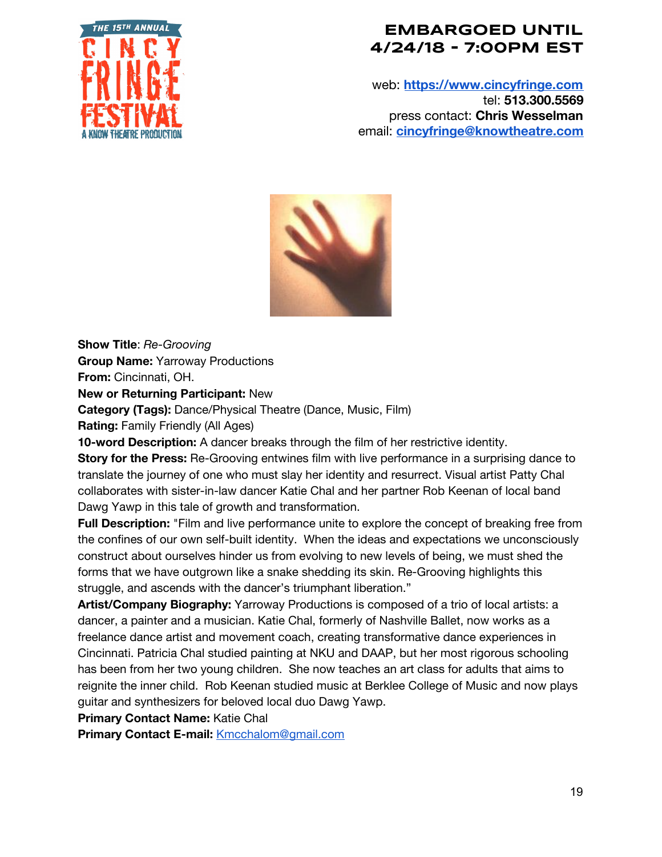

web: **[https://www.cincyfringe.com](https://www.cincyfringe.com/)** tel: **513.300.5569** press contact: **Chris Wesselman** email: **[cincyfringe@knowtheatre.com](mailto:cincyfringe@knowtheatre.com)**



**Show Title**: *Re-Grooving* **Group Name:** Yarroway Productions

**From:** Cincinnati, OH.

**New or Returning Participant:** New

**Category (Tags):** Dance/Physical Theatre (Dance, Music, Film)

**Rating:** Family Friendly (All Ages)

**10-word Description:** A dancer breaks through the film of her restrictive identity.

**Story for the Press:** Re-Grooving entwines film with live performance in a surprising dance to translate the journey of one who must slay her identity and resurrect. Visual artist Patty Chal collaborates with sister-in-law dancer Katie Chal and her partner Rob Keenan of local band Dawg Yawp in this tale of growth and transformation.

**Full Description:** "Film and live performance unite to explore the concept of breaking free from the confines of our own self-built identity. When the ideas and expectations we unconsciously construct about ourselves hinder us from evolving to new levels of being, we must shed the forms that we have outgrown like a snake shedding its skin. Re-Grooving highlights this struggle, and ascends with the dancer's triumphant liberation."

**Artist/Company Biography:** Yarroway Productions is composed of a trio of local artists: a dancer, a painter and a musician. Katie Chal, formerly of Nashville Ballet, now works as a freelance dance artist and movement coach, creating transformative dance experiences in Cincinnati. Patricia Chal studied painting at NKU and DAAP, but her most rigorous schooling has been from her two young children. She now teaches an art class for adults that aims to reignite the inner child. Rob Keenan studied music at Berklee College of Music and now plays guitar and synthesizers for beloved local duo Dawg Yawp.

**Primary Contact Name:** Katie Chal

**Primary Contact E-mail:** [Kmcchalom@gmail.com](mailto:Kmcchalom@gmail.com)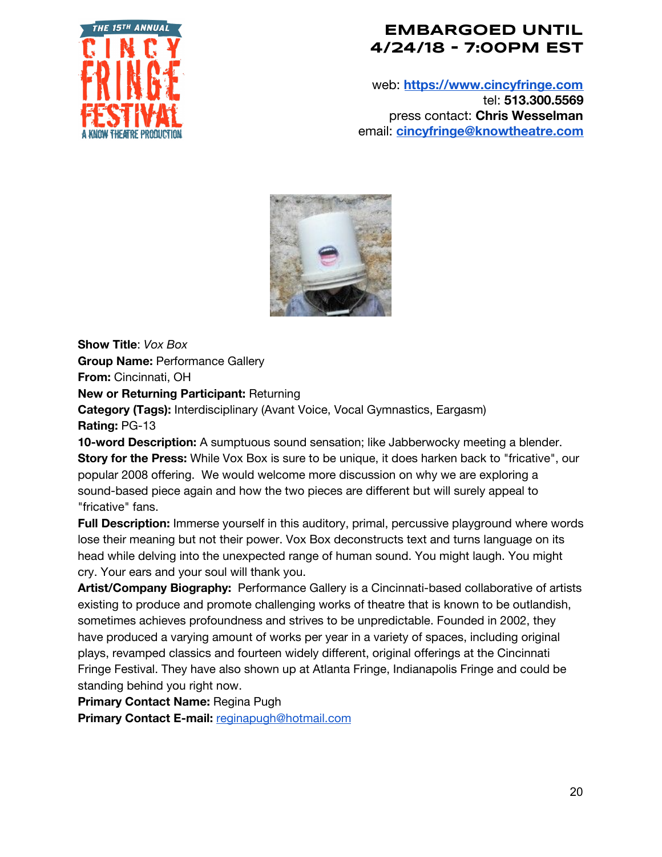

web: **[https://www.cincyfringe.com](https://www.cincyfringe.com/)** tel: **513.300.5569** press contact: **Chris Wesselman** email: **[cincyfringe@knowtheatre.com](mailto:cincyfringe@knowtheatre.com)**



**Show Title**: *Vox Box* **Group Name:** Performance Gallery

**From:** Cincinnati, OH

**New or Returning Participant:** Returning

**Category (Tags):** Interdisciplinary (Avant Voice, Vocal Gymnastics, Eargasm) **Rating:** PG-13

**10-word Description:** A sumptuous sound sensation; like Jabberwocky meeting a blender. **Story for the Press:** While Vox Box is sure to be unique, it does harken back to "fricative", our popular 2008 offering. We would welcome more discussion on why we are exploring a sound-based piece again and how the two pieces are different but will surely appeal to "fricative" fans.

**Full Description:** Immerse yourself in this auditory, primal, percussive playground where words lose their meaning but not their power. Vox Box deconstructs text and turns language on its head while delving into the unexpected range of human sound. You might laugh. You might cry. Your ears and your soul will thank you.

**Artist/Company Biography:** Performance Gallery is a Cincinnati-based collaborative of artists existing to produce and promote challenging works of theatre that is known to be outlandish, sometimes achieves profoundness and strives to be unpredictable. Founded in 2002, they have produced a varying amount of works per year in a variety of spaces, including original plays, revamped classics and fourteen widely different, original offerings at the Cincinnati Fringe Festival. They have also shown up at Atlanta Fringe, Indianapolis Fringe and could be standing behind you right now.

**Primary Contact Name:** Regina Pugh

**Primary Contact E-mail:** [reginapugh@hotmail.com](mailto:reginapugh@hotmail.com)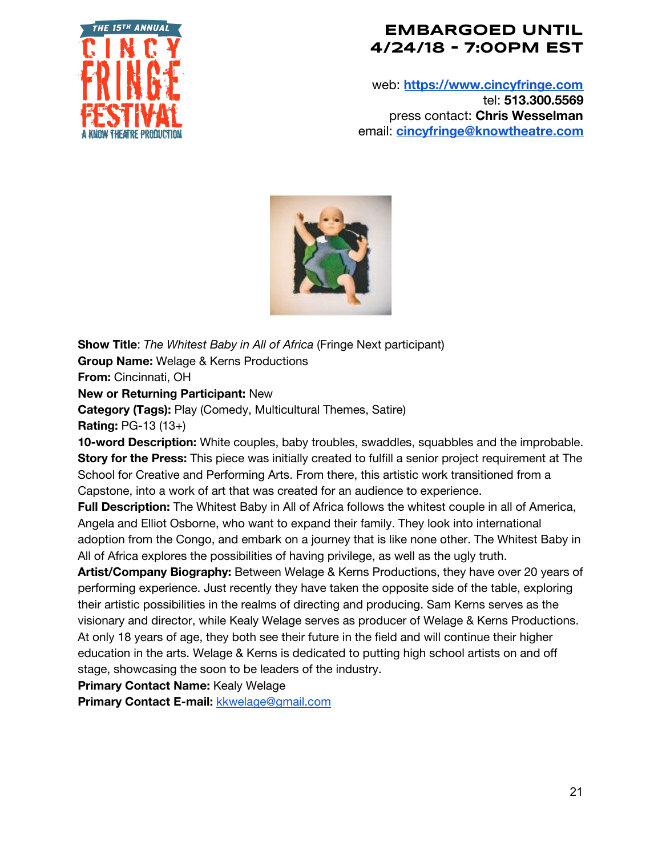

web: **[https://www.cincyfringe.com](https://www.cincyfringe.com/)** tel: **513.300.5569** press contact: **Chris Wesselman** email: **[cincyfringe@knowtheatre.com](mailto:cincyfringe@knowtheatre.com)**



**Show Title**: *The Whitest Baby in All of Africa* (Fringe Next participant) **Group Name:** Welage & Kerns Productions **From:** Cincinnati, OH **New or Returning Participant:** New **Category (Tags):** Play (Comedy, Multicultural Themes, Satire) **Rating:** PG-13 (13+) **10-word Description:** White couples, baby troubles, swaddles, squabbles and the improbable. **Story for the Press:** This piece was initially created to fulfill a senior project requirement at The School for Creative and Performing Arts. From there, this artistic work transitioned from a

Capstone, into a work of art that was created for an audience to experience.

**Full Description:** The Whitest Baby in All of Africa follows the whitest couple in all of America, Angela and Elliot Osborne, who want to expand their family. They look into international adoption from the Congo, and embark on a journey that is like none other. The Whitest Baby in All of Africa explores the possibilities of having privilege, as well as the ugly truth.

**Artist/Company Biography:** Between Welage & Kerns Productions, they have over 20 years of performing experience. Just recently they have taken the opposite side of the table, exploring their artistic possibilities in the realms of directing and producing. Sam Kerns serves as the visionary and director, while Kealy Welage serves as producer of Welage & Kerns Productions. At only 18 years of age, they both see their future in the field and will continue their higher education in the arts. Welage & Kerns is dedicated to putting high school artists on and off stage, showcasing the soon to be leaders of the industry.

**Primary Contact Name:** Kealy Welage

**Primary Contact E-mail:** [kkwelage@gmail.com](mailto:kkwelage@gmail.com)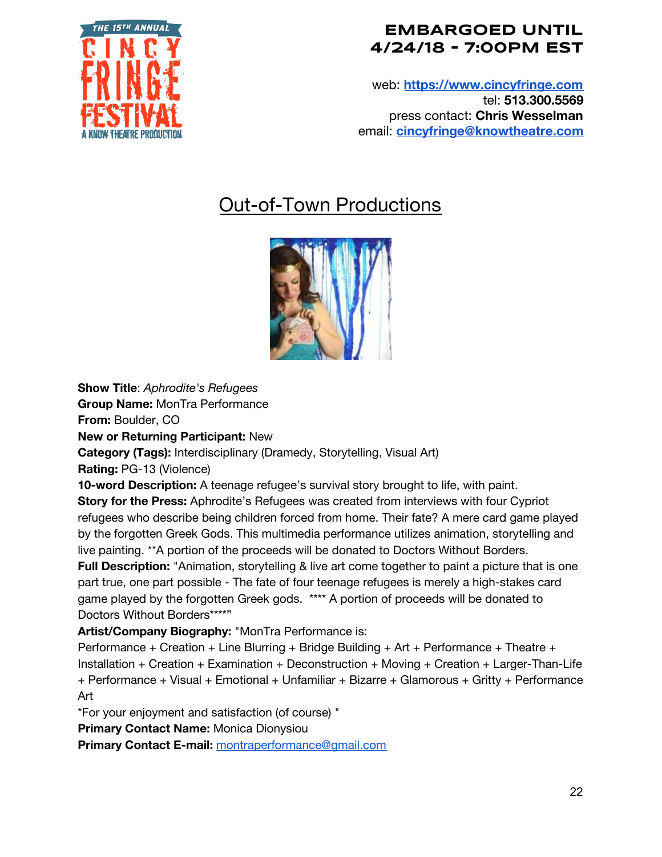

web: **[https://www.cincyfringe.com](https://www.cincyfringe.com/)** tel: **513.300.5569** press contact: **Chris Wesselman** email: **[cincyfringe@knowtheatre.com](mailto:cincyfringe@knowtheatre.com)**

# Out-of-Town Productions



**Show Title**: *Aphrodite's Refugees*

**Group Name:** MonTra Performance

**From:** Boulder, CO

**New or Returning Participant:** New

**Category (Tags):** Interdisciplinary (Dramedy, Storytelling, Visual Art)

**Rating:** PG-13 (Violence)

**10-word Description:** A teenage refugee's survival story brought to life, with paint.

**Story for the Press:** Aphrodite's Refugees was created from interviews with four Cypriot refugees who describe being children forced from home. Their fate? A mere card game played by the forgotten Greek Gods. This multimedia performance utilizes animation, storytelling and live painting. \*\*A portion of the proceeds will be donated to Doctors Without Borders.

**Full Description:** "Animation, storytelling & live art come together to paint a picture that is one part true, one part possible - The fate of four teenage refugees is merely a high-stakes card game played by the forgotten Greek gods. \*\*\*\* A portion of proceeds will be donated to Doctors Without Borders\*\*\*\*"

**Artist/Company Biography:** "MonTra Performance is:

Performance + Creation + Line Blurring + Bridge Building + Art + Performance + Theatre + Installation + Creation + Examination + Deconstruction + Moving + Creation + Larger-Than-Life + Performance + Visual + Emotional + Unfamiliar + Bizarre + Glamorous + Gritty + Performance Art

\*For your enjoyment and satisfaction (of course) "

**Primary Contact Name:** Monica Dionysiou

**Primary Contact E-mail:** [montraperformance@gmail.com](mailto:montraperformance@gmail.com)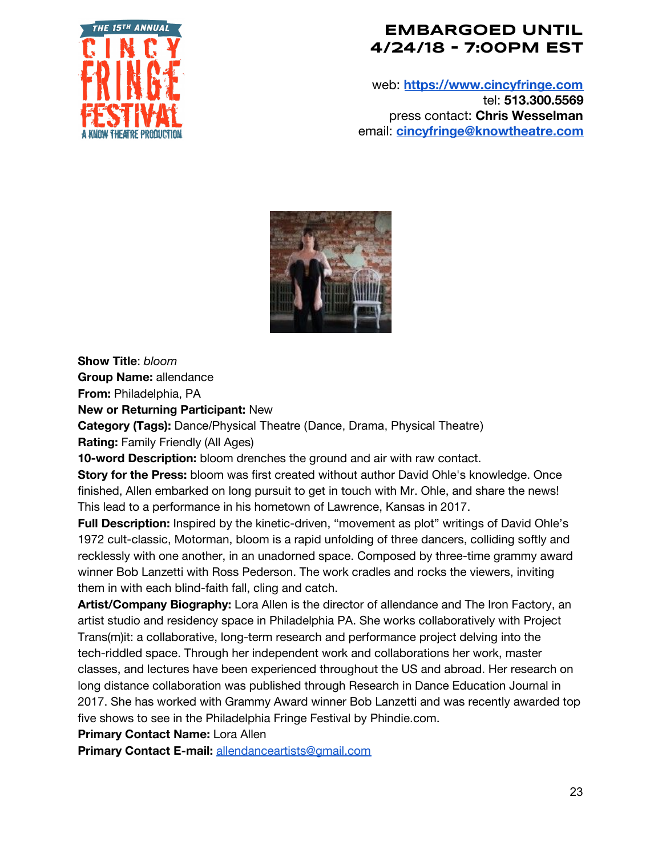

web: **[https://www.cincyfringe.com](https://www.cincyfringe.com/)** tel: **513.300.5569** press contact: **Chris Wesselman** email: **[cincyfringe@knowtheatre.com](mailto:cincyfringe@knowtheatre.com)**



**Show Title**: *bloom* **Group Name:** allendance

**From:** Philadelphia, PA

**New or Returning Participant:** New

**Category (Tags):** Dance/Physical Theatre (Dance, Drama, Physical Theatre) **Rating:** Family Friendly (All Ages)

**10-word Description:** bloom drenches the ground and air with raw contact.

**Story for the Press:** bloom was first created without author David Ohle's knowledge. Once finished, Allen embarked on long pursuit to get in touch with Mr. Ohle, and share the news! This lead to a performance in his hometown of Lawrence, Kansas in 2017.

**Full Description:** Inspired by the kinetic-driven, "movement as plot" writings of David Ohle's 1972 cult-classic, Motorman, bloom is a rapid unfolding of three dancers, colliding softly and recklessly with one another, in an unadorned space. Composed by three-time grammy award winner Bob Lanzetti with Ross Pederson. The work cradles and rocks the viewers, inviting them in with each blind-faith fall, cling and catch.

**Artist/Company Biography:** Lora Allen is the director of allendance and The Iron Factory, an artist studio and residency space in Philadelphia PA. She works collaboratively with Project Trans(m)it: a collaborative, long-term research and performance project delving into the tech-riddled space. Through her independent work and collaborations her work, master classes, and lectures have been experienced throughout the US and abroad. Her research on long distance collaboration was published through Research in Dance Education Journal in 2017. She has worked with Grammy Award winner Bob Lanzetti and was recently awarded top five shows to see in the Philadelphia Fringe Festival by Phindie.com.

**Primary Contact Name:** Lora Allen

**Primary Contact E-mail:** [allendanceartists@gmail.com](mailto:allendanceartists@gmail.com)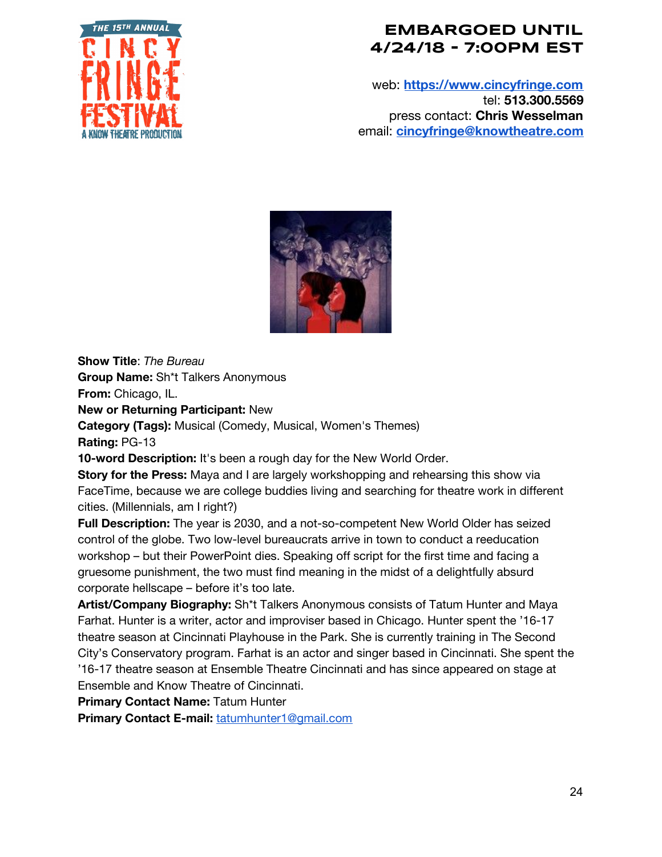

web: **[https://www.cincyfringe.com](https://www.cincyfringe.com/)** tel: **513.300.5569** press contact: **Chris Wesselman** email: **[cincyfringe@knowtheatre.com](mailto:cincyfringe@knowtheatre.com)**



**Show Title**: *The Bureau*

**Group Name:** Sh\*t Talkers Anonymous

**From:** Chicago, IL.

**New or Returning Participant:** New

**Category (Tags):** Musical (Comedy, Musical, Women's Themes) **Rating:** PG-13

**10-word Description:** It's been a rough day for the New World Order.

**Story for the Press:** Maya and I are largely workshopping and rehearsing this show via FaceTime, because we are college buddies living and searching for theatre work in different cities. (Millennials, am I right?)

**Full Description:** The year is 2030, and a not-so-competent New World Older has seized control of the globe. Two low-level bureaucrats arrive in town to conduct a reeducation workshop – but their PowerPoint dies. Speaking off script for the first time and facing a gruesome punishment, the two must find meaning in the midst of a delightfully absurd corporate hellscape – before it's too late.

**Artist/Company Biography:** Sh\*t Talkers Anonymous consists of Tatum Hunter and Maya Farhat. Hunter is a writer, actor and improviser based in Chicago. Hunter spent the '16-17 theatre season at Cincinnati Playhouse in the Park. She is currently training in The Second City's Conservatory program. Farhat is an actor and singer based in Cincinnati. She spent the '16-17 theatre season at Ensemble Theatre Cincinnati and has since appeared on stage at Ensemble and Know Theatre of Cincinnati.

**Primary Contact Name:** Tatum Hunter

**Primary Contact E-mail:** [tatumhunter1@gmail.com](mailto:tatumhunter1@gmail.com)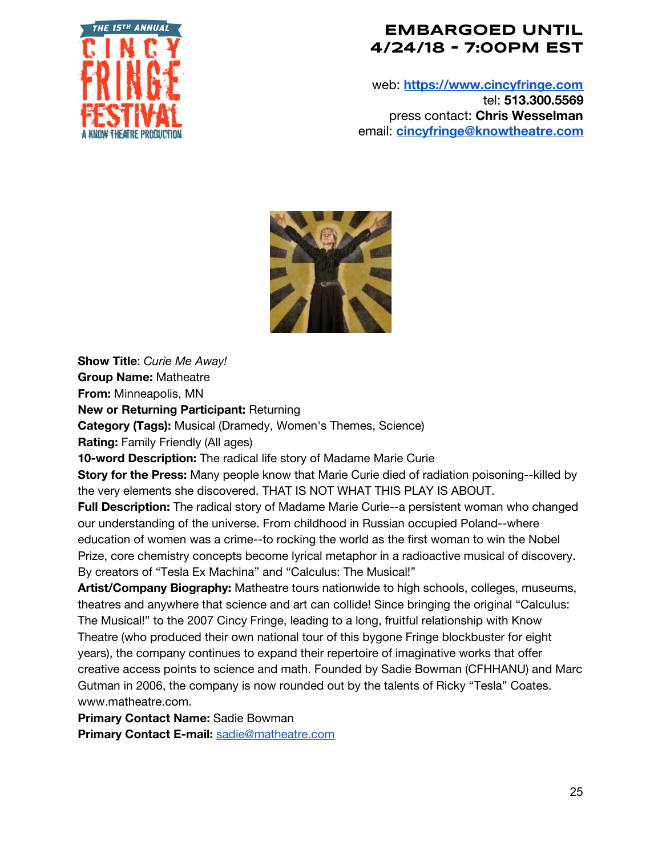

web: **[https://www.cincyfringe.com](https://www.cincyfringe.com/)** tel: **513.300.5569** press contact: **Chris Wesselman** email: **[cincyfringe@knowtheatre.com](mailto:cincyfringe@knowtheatre.com)**



**Show Title**: *Curie Me Away!*

**Group Name:** Matheatre

**From:** Minneapolis, MN

**New or Returning Participant:** Returning

**Category (Tags):** Musical (Dramedy, Women's Themes, Science)

**Rating:** Family Friendly (All ages)

**10-word Description:** The radical life story of Madame Marie Curie

**Story for the Press:** Many people know that Marie Curie died of radiation poisoning--killed by the very elements she discovered. THAT IS NOT WHAT THIS PLAY IS ABOUT.

**Full Description:** The radical story of Madame Marie Curie--a persistent woman who changed our understanding of the universe. From childhood in Russian occupied Poland--where education of women was a crime--to rocking the world as the first woman to win the Nobel Prize, core chemistry concepts become lyrical metaphor in a radioactive musical of discovery. By creators of "Tesla Ex Machina" and "Calculus: The Musical!"

**Artist/Company Biography:** Matheatre tours nationwide to high schools, colleges, museums, theatres and anywhere that science and art can collide! Since bringing the original "Calculus: The Musical!" to the 2007 Cincy Fringe, leading to a long, fruitful relationship with Know Theatre (who produced their own national tour of this bygone Fringe blockbuster for eight years), the company continues to expand their repertoire of imaginative works that offer creative access points to science and math. Founded by Sadie Bowman (CFHHANU) and Marc Gutman in 2006, the company is now rounded out by the talents of Ricky "Tesla" Coates. www.matheatre.com.

**Primary Contact Name:** Sadie Bowman

**Primary Contact E-mail:** [sadie@matheatre.com](mailto:sadie@matheatre.com)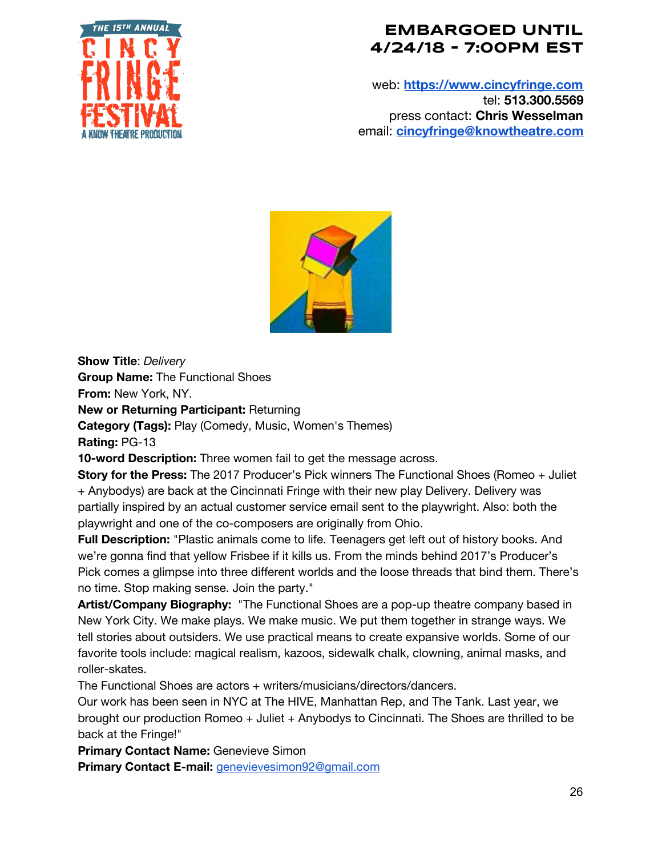

web: **[https://www.cincyfringe.com](https://www.cincyfringe.com/)** tel: **513.300.5569** press contact: **Chris Wesselman** email: **[cincyfringe@knowtheatre.com](mailto:cincyfringe@knowtheatre.com)**



**Show Title**: *Delivery*

**Group Name:** The Functional Shoes

**From:** New York, NY.

**New or Returning Participant:** Returning

**Category (Tags):** Play (Comedy, Music, Women's Themes) **Rating:** PG-13

**10-word Description:** Three women fail to get the message across.

**Story for the Press:** The 2017 Producer's Pick winners The Functional Shoes (Romeo + Juliet + Anybodys) are back at the Cincinnati Fringe with their new play Delivery. Delivery was partially inspired by an actual customer service email sent to the playwright. Also: both the playwright and one of the co-composers are originally from Ohio.

**Full Description:** "Plastic animals come to life. Teenagers get left out of history books. And we're gonna find that yellow Frisbee if it kills us. From the minds behind 2017's Producer's Pick comes a glimpse into three different worlds and the loose threads that bind them. There's no time. Stop making sense. Join the party."

**Artist/Company Biography:** "The Functional Shoes are a pop-up theatre company based in New York City. We make plays. We make music. We put them together in strange ways. We tell stories about outsiders. We use practical means to create expansive worlds. Some of our favorite tools include: magical realism, kazoos, sidewalk chalk, clowning, animal masks, and roller-skates.

The Functional Shoes are actors + writers/musicians/directors/dancers.

Our work has been seen in NYC at The HIVE, Manhattan Rep, and The Tank. Last year, we brought our production Romeo + Juliet + Anybodys to Cincinnati. The Shoes are thrilled to be back at the Fringe!"

**Primary Contact Name:** Genevieve Simon

**Primary Contact E-mail:** [genevievesimon92@gmail.com](mailto:genevievesimon92@gmail.com)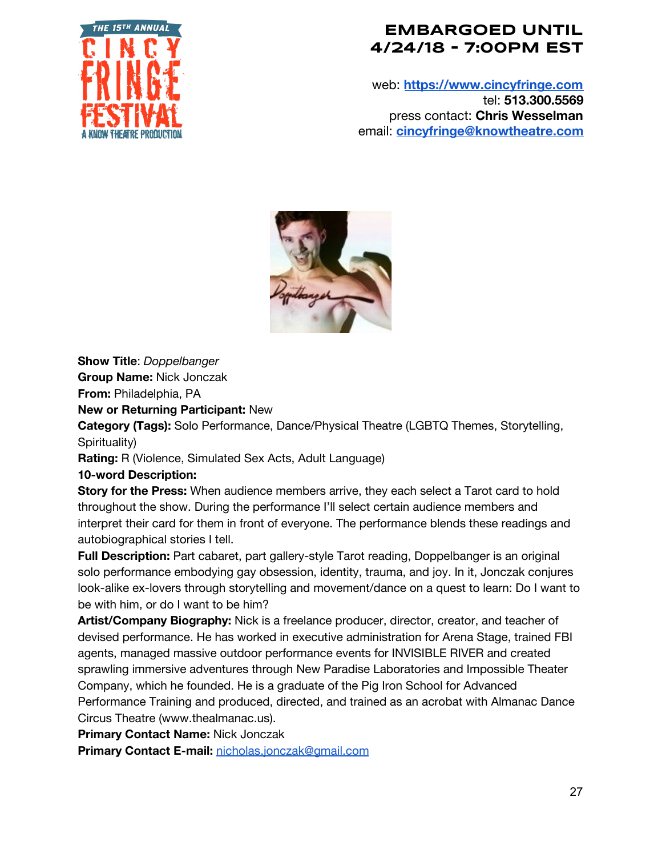

web: **[https://www.cincyfringe.com](https://www.cincyfringe.com/)** tel: **513.300.5569** press contact: **Chris Wesselman** email: **[cincyfringe@knowtheatre.com](mailto:cincyfringe@knowtheatre.com)**



**Show Title**: *Doppelbanger*

**Group Name:** Nick Jonczak

**From:** Philadelphia, PA

#### **New or Returning Participant:** New

**Category (Tags):** Solo Performance, Dance/Physical Theatre (LGBTQ Themes, Storytelling, Spirituality)

**Rating:** R (Violence, Simulated Sex Acts, Adult Language)

#### **10-word Description:**

**Story for the Press:** When audience members arrive, they each select a Tarot card to hold throughout the show. During the performance I'll select certain audience members and interpret their card for them in front of everyone. The performance blends these readings and autobiographical stories I tell.

**Full Description:** Part cabaret, part gallery-style Tarot reading, Doppelbanger is an original solo performance embodying gay obsession, identity, trauma, and joy. In it, Jonczak conjures look-alike ex-lovers through storytelling and movement/dance on a quest to learn: Do I want to be with him, or do I want to be him?

**Artist/Company Biography:** Nick is a freelance producer, director, creator, and teacher of devised performance. He has worked in executive administration for Arena Stage, trained FBI agents, managed massive outdoor performance events for INVISIBLE RIVER and created sprawling immersive adventures through New Paradise Laboratories and Impossible Theater Company, which he founded. He is a graduate of the Pig Iron School for Advanced Performance Training and produced, directed, and trained as an acrobat with Almanac Dance Circus Theatre (www.thealmanac.us).

**Primary Contact Name:** Nick Jonczak

**Primary Contact E-mail:** [nicholas.jonczak@gmail.com](mailto:nicholas.jonczak@gmail.com)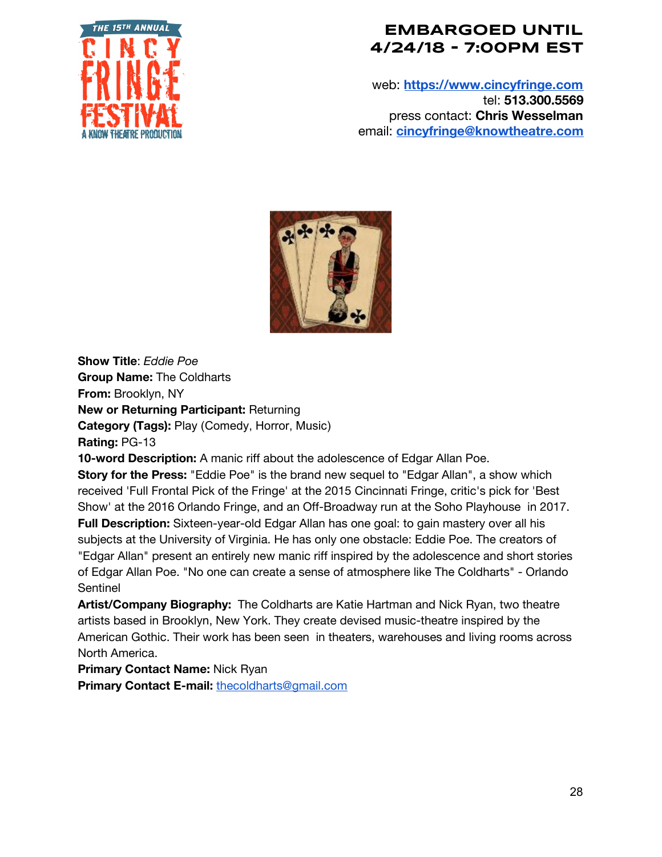

web: **[https://www.cincyfringe.com](https://www.cincyfringe.com/)** tel: **513.300.5569** press contact: **Chris Wesselman** email: **[cincyfringe@knowtheatre.com](mailto:cincyfringe@knowtheatre.com)**



**Show Title**: *Eddie Poe* **Group Name:** The Coldharts **From:** Brooklyn, NY **New or Returning Participant:** Returning **Category (Tags):** Play (Comedy, Horror, Music) **Rating:** PG-13

**10-word Description:** A manic riff about the adolescence of Edgar Allan Poe.

**Story for the Press:** "Eddie Poe" is the brand new sequel to "Edgar Allan", a show which received 'Full Frontal Pick of the Fringe' at the 2015 Cincinnati Fringe, critic's pick for 'Best Show' at the 2016 Orlando Fringe, and an Off-Broadway run at the Soho Playhouse in 2017. **Full Description:** Sixteen-year-old Edgar Allan has one goal: to gain mastery over all his subjects at the University of Virginia. He has only one obstacle: Eddie Poe. The creators of "Edgar Allan" present an entirely new manic riff inspired by the adolescence and short stories of Edgar Allan Poe. "No one can create a sense of atmosphere like The Coldharts" - Orlando Sentinel

**Artist/Company Biography:** The Coldharts are Katie Hartman and Nick Ryan, two theatre artists based in Brooklyn, New York. They create devised music-theatre inspired by the American Gothic. Their work has been seen in theaters, warehouses and living rooms across North America.

**Primary Contact Name:** Nick Ryan

**Primary Contact E-mail:** [thecoldharts@gmail.com](mailto:thecoldharts@gmail.com)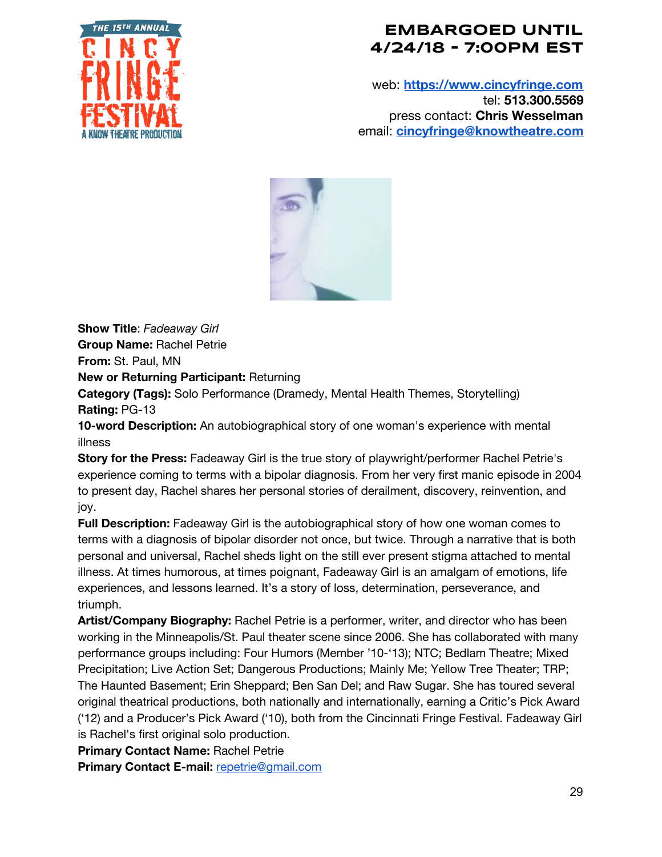

web: **[https://www.cincyfringe.com](https://www.cincyfringe.com/)** tel: **513.300.5569** press contact: **Chris Wesselman** email: **[cincyfringe@knowtheatre.com](mailto:cincyfringe@knowtheatre.com)**



**Show Title**: *Fadeaway Girl* **Group Name:** Rachel Petrie

**From:** St. Paul, MN

**New or Returning Participant:** Returning

**Category (Tags):** Solo Performance (Dramedy, Mental Health Themes, Storytelling) **Rating:** PG-13

**10-word Description:** An autobiographical story of one woman's experience with mental illness

**Story for the Press:** Fadeaway Girl is the true story of playwright/performer Rachel Petrie's experience coming to terms with a bipolar diagnosis. From her very first manic episode in 2004 to present day, Rachel shares her personal stories of derailment, discovery, reinvention, and joy.

**Full Description:** Fadeaway Girl is the autobiographical story of how one woman comes to terms with a diagnosis of bipolar disorder not once, but twice. Through a narrative that is both personal and universal, Rachel sheds light on the still ever present stigma attached to mental illness. At times humorous, at times poignant, Fadeaway Girl is an amalgam of emotions, life experiences, and lessons learned. It's a story of loss, determination, perseverance, and triumph.

**Artist/Company Biography:** Rachel Petrie is a performer, writer, and director who has been working in the Minneapolis/St. Paul theater scene since 2006. She has collaborated with many performance groups including: Four Humors (Member '10-'13); NTC; Bedlam Theatre; Mixed Precipitation; Live Action Set; Dangerous Productions; Mainly Me; Yellow Tree Theater; TRP; The Haunted Basement; Erin Sheppard; Ben San Del; and Raw Sugar. She has toured several original theatrical productions, both nationally and internationally, earning a Critic's Pick Award ('12) and a Producer's Pick Award ('10), both from the Cincinnati Fringe Festival. Fadeaway Girl is Rachel's first original solo production.

**Primary Contact Name:** Rachel Petrie

**Primary Contact E-mail:** [repetrie@gmail.com](mailto:repetrie@gmail.com)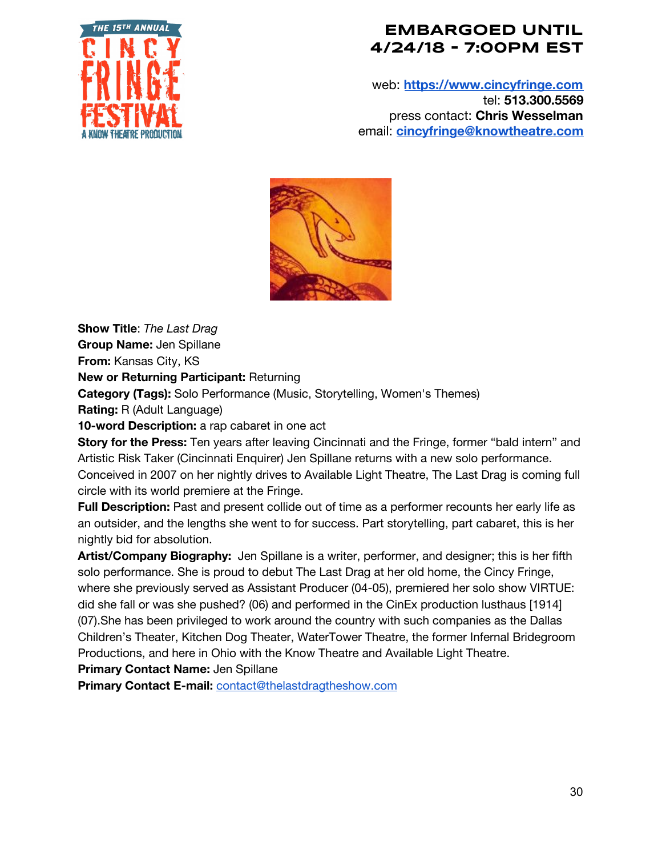

web: **[https://www.cincyfringe.com](https://www.cincyfringe.com/)** tel: **513.300.5569** press contact: **Chris Wesselman** email: **[cincyfringe@knowtheatre.com](mailto:cincyfringe@knowtheatre.com)**



**Show Title**: *The Last Drag*

**Group Name:** Jen Spillane

**From:** Kansas City, KS

**New or Returning Participant:** Returning

**Category (Tags):** Solo Performance (Music, Storytelling, Women's Themes)

**Rating:** R (Adult Language)

**10-word Description:** a rap cabaret in one act

**Story for the Press:** Ten years after leaving Cincinnati and the Fringe, former "bald intern" and Artistic Risk Taker (Cincinnati Enquirer) Jen Spillane returns with a new solo performance. Conceived in 2007 on her nightly drives to Available Light Theatre, The Last Drag is coming full circle with its world premiere at the Fringe.

**Full Description:** Past and present collide out of time as a performer recounts her early life as an outsider, and the lengths she went to for success. Part storytelling, part cabaret, this is her nightly bid for absolution.

**Artist/Company Biography:** Jen Spillane is a writer, performer, and designer; this is her fifth solo performance. She is proud to debut The Last Drag at her old home, the Cincy Fringe, where she previously served as Assistant Producer (04-05), premiered her solo show VIRTUE: did she fall or was she pushed? (06) and performed in the CinEx production lusthaus [1914] (07).She has been privileged to work around the country with such companies as the Dallas Children's Theater, Kitchen Dog Theater, WaterTower Theatre, the former Infernal Bridegroom Productions, and here in Ohio with the Know Theatre and Available Light Theatre.

**Primary Contact Name:** Jen Spillane

**Primary Contact E-mail:** [contact@thelastdragtheshow.com](mailto:contact@thelastdragtheshow.com)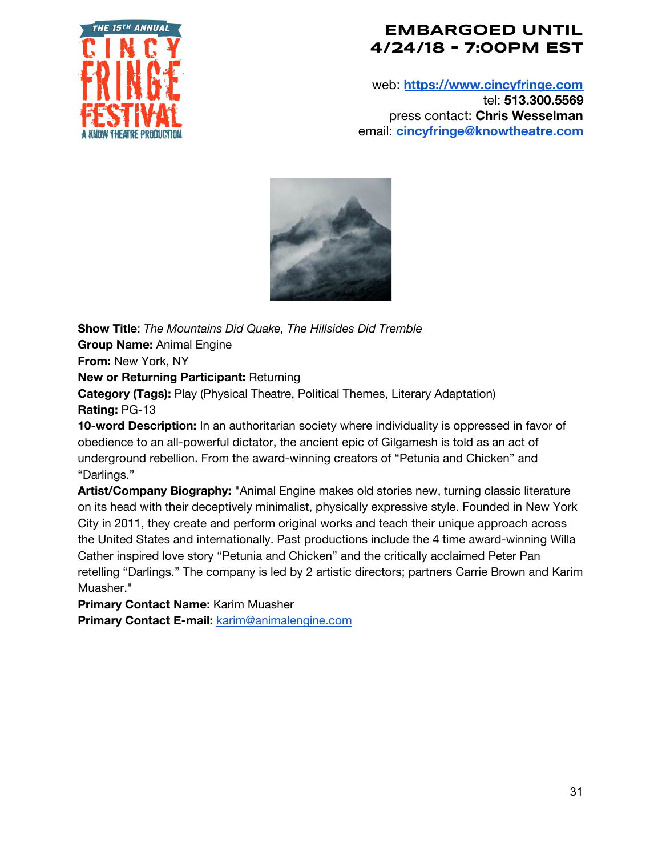

web: **[https://www.cincyfringe.com](https://www.cincyfringe.com/)** tel: **513.300.5569** press contact: **Chris Wesselman** email: **[cincyfringe@knowtheatre.com](mailto:cincyfringe@knowtheatre.com)**



**Show Title**: *The Mountains Did Quake, The Hillsides Did Tremble* **Group Name:** Animal Engine **From:** New York, NY **New or Returning Participant:** Returning **Category (Tags):** Play (Physical Theatre, Political Themes, Literary Adaptation) **Rating:** PG-13 **10-word Description:** In an authoritarian society where individuality is oppressed in favor of

obedience to an all-powerful dictator, the ancient epic of Gilgamesh is told as an act of underground rebellion. From the award-winning creators of "Petunia and Chicken" and "Darlings."

**Artist/Company Biography:** "Animal Engine makes old stories new, turning classic literature on its head with their deceptively minimalist, physically expressive style. Founded in New York City in 2011, they create and perform original works and teach their unique approach across the United States and internationally. Past productions include the 4 time award-winning Willa Cather inspired love story "Petunia and Chicken" and the critically acclaimed Peter Pan retelling "Darlings." The company is led by 2 artistic directors; partners Carrie Brown and Karim Muasher."

**Primary Contact Name:** Karim Muasher

**Primary Contact E-mail:** [karim@animalengine.com](mailto:karim@animalengine.com)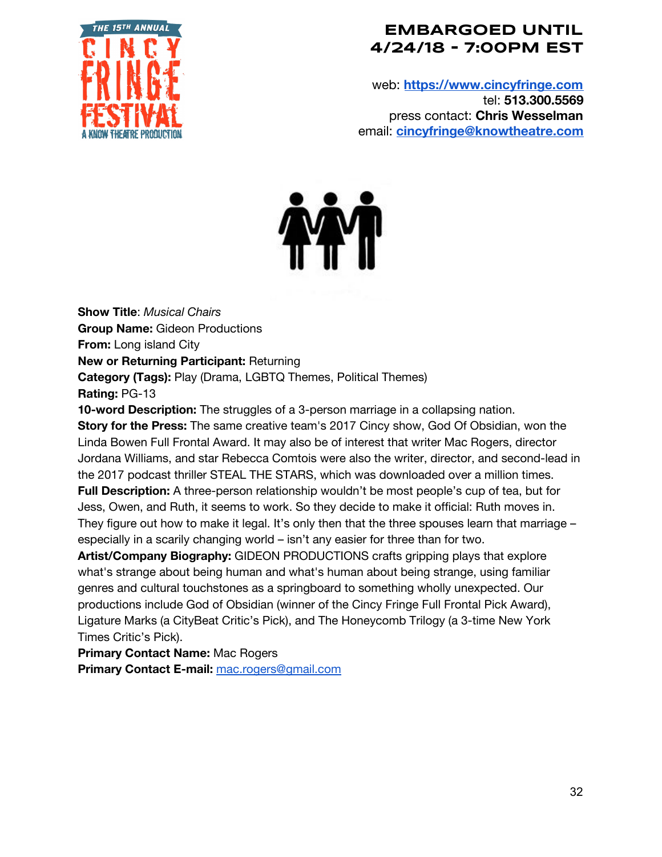

web: **[https://www.cincyfringe.com](https://www.cincyfringe.com/)** tel: **513.300.5569** press contact: **Chris Wesselman** email: **[cincyfringe@knowtheatre.com](mailto:cincyfringe@knowtheatre.com)**



**Show Title**: *Musical Chairs* **Group Name:** Gideon Productions **From:** Long island City **New or Returning Participant:** Returning **Category (Tags):** Play (Drama, LGBTQ Themes, Political Themes) **Rating:** PG-13

**10-word Description:** The struggles of a 3-person marriage in a collapsing nation. **Story for the Press:** The same creative team's 2017 Cincy show, God Of Obsidian, won the Linda Bowen Full Frontal Award. It may also be of interest that writer Mac Rogers, director Jordana Williams, and star Rebecca Comtois were also the writer, director, and second-lead in the 2017 podcast thriller STEAL THE STARS, which was downloaded over a million times. **Full Description:** A three-person relationship wouldn't be most people's cup of tea, but for Jess, Owen, and Ruth, it seems to work. So they decide to make it official: Ruth moves in. They figure out how to make it legal. It's only then that the three spouses learn that marriage especially in a scarily changing world – isn't any easier for three than for two.

**Artist/Company Biography:** GIDEON PRODUCTIONS crafts gripping plays that explore what's strange about being human and what's human about being strange, using familiar genres and cultural touchstones as a springboard to something wholly unexpected. Our productions include God of Obsidian (winner of the Cincy Fringe Full Frontal Pick Award), Ligature Marks (a CityBeat Critic's Pick), and The Honeycomb Trilogy (a 3-time New York Times Critic's Pick).

**Primary Contact Name:** Mac Rogers

**Primary Contact E-mail:** [mac.rogers@gmail.com](mailto:mac.rogers@gmail.com)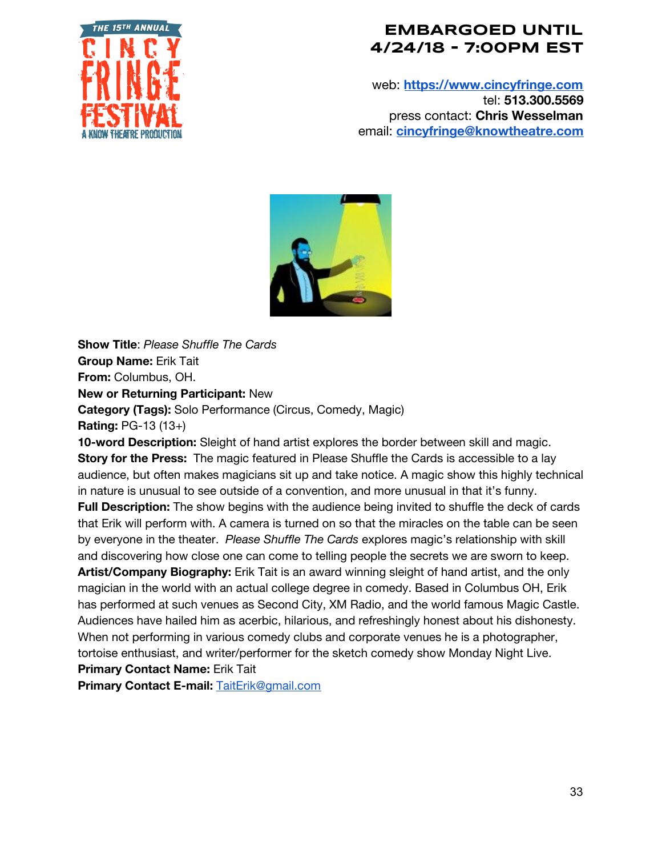

web: **[https://www.cincyfringe.com](https://www.cincyfringe.com/)** tel: **513.300.5569** press contact: **Chris Wesselman** email: **[cincyfringe@knowtheatre.com](mailto:cincyfringe@knowtheatre.com)**



**Show Title**: *Please Shuffle The Cards* **Group Name:** Erik Tait **From:** Columbus, OH. **New or Returning Participant:** New **Category (Tags):** Solo Performance (Circus, Comedy, Magic) **Rating:** PG-13 (13+)

**10-word Description:** Sleight of hand artist explores the border between skill and magic. **Story for the Press:** The magic featured in Please Shuffle the Cards is accessible to a lay audience, but often makes magicians sit up and take notice. A magic show this highly technical in nature is unusual to see outside of a convention, and more unusual in that it's funny.

**Full Description:** The show begins with the audience being invited to shuffle the deck of cards that Erik will perform with. A camera is turned on so that the miracles on the table can be seen by everyone in the theater. *Please Shuffle The Cards* explores magic's relationship with skill and discovering how close one can come to telling people the secrets we are sworn to keep. **Artist/Company Biography:** Erik Tait is an award winning sleight of hand artist, and the only magician in the world with an actual college degree in comedy. Based in Columbus OH, Erik has performed at such venues as Second City, XM Radio, and the world famous Magic Castle. Audiences have hailed him as acerbic, hilarious, and refreshingly honest about his dishonesty. When not performing in various comedy clubs and corporate venues he is a photographer, tortoise enthusiast, and writer/performer for the sketch comedy show Monday Night Live.

**Primary Contact Name:** Erik Tait

**Primary Contact E-mail:** [TaitErik@gmail.com](mailto:TaitErik@gmail.com)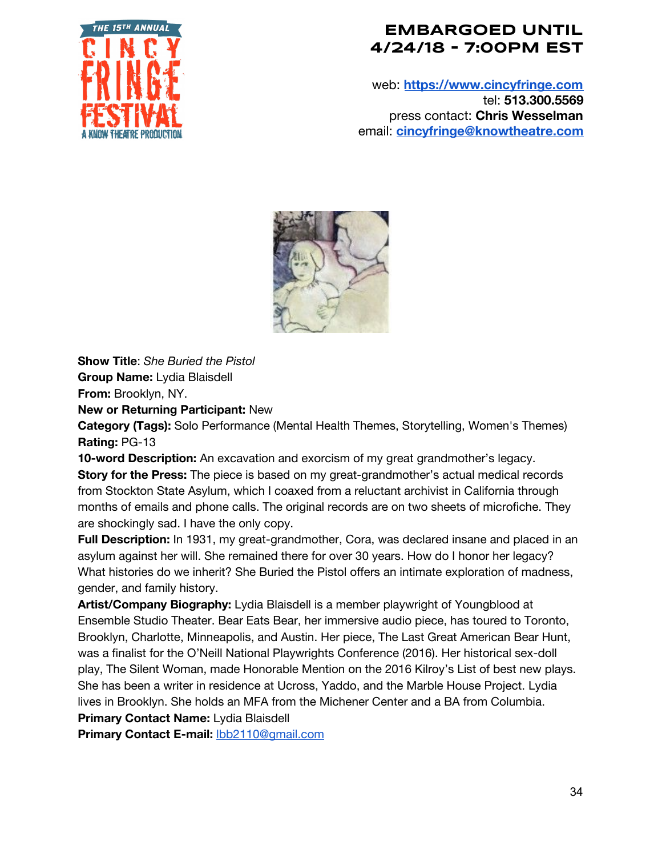

web: **[https://www.cincyfringe.com](https://www.cincyfringe.com/)** tel: **513.300.5569** press contact: **Chris Wesselman** email: **[cincyfringe@knowtheatre.com](mailto:cincyfringe@knowtheatre.com)**



**Show Title**: *She Buried the Pistol* **Group Name:** Lydia Blaisdell **From:** Brooklyn, NY.

**New or Returning Participant:** New

**Category (Tags):** Solo Performance (Mental Health Themes, Storytelling, Women's Themes) **Rating:** PG-13

**10-word Description:** An excavation and exorcism of my great grandmother's legacy. **Story for the Press:** The piece is based on my great-grandmother's actual medical records from Stockton State Asylum, which I coaxed from a reluctant archivist in California through months of emails and phone calls. The original records are on two sheets of microfiche. They are shockingly sad. I have the only copy.

**Full Description:** In 1931, my great-grandmother, Cora, was declared insane and placed in an asylum against her will. She remained there for over 30 years. How do I honor her legacy? What histories do we inherit? She Buried the Pistol offers an intimate exploration of madness, gender, and family history.

**Artist/Company Biography:** Lydia Blaisdell is a member playwright of Youngblood at Ensemble Studio Theater. Bear Eats Bear, her immersive audio piece, has toured to Toronto, Brooklyn, Charlotte, Minneapolis, and Austin. Her piece, The Last Great American Bear Hunt, was a finalist for the O'Neill National Playwrights Conference (2016). Her historical sex-doll play, The Silent Woman, made Honorable Mention on the 2016 Kilroy's List of best new plays. She has been a writer in residence at Ucross, Yaddo, and the Marble House Project. Lydia lives in Brooklyn. She holds an MFA from the Michener Center and a BA from Columbia. **Primary Contact Name:** Lydia Blaisdell

**Primary Contact E-mail:** [lbb2110@gmail.com](mailto:lbb2110@gmail.com)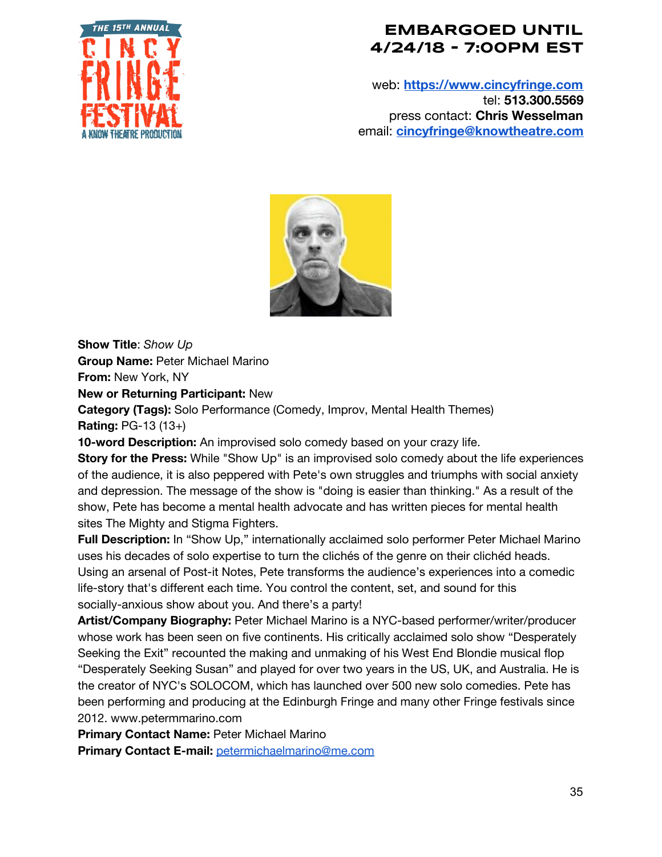

web: **[https://www.cincyfringe.com](https://www.cincyfringe.com/)** tel: **513.300.5569** press contact: **Chris Wesselman** email: **[cincyfringe@knowtheatre.com](mailto:cincyfringe@knowtheatre.com)**



**Show Title**: *Show Up* **Group Name:** Peter Michael Marino

**From:** New York, NY

**New or Returning Participant:** New

**Category (Tags):** Solo Performance (Comedy, Improv, Mental Health Themes) **Rating:** PG-13 (13+)

**10-word Description:** An improvised solo comedy based on your crazy life.

**Story for the Press:** While "Show Up" is an improvised solo comedy about the life experiences of the audience, it is also peppered with Pete's own struggles and triumphs with social anxiety and depression. The message of the show is "doing is easier than thinking." As a result of the show, Pete has become a mental health advocate and has written pieces for mental health sites The Mighty and Stigma Fighters.

**Full Description:** In "Show Up," internationally acclaimed solo performer Peter Michael Marino uses his decades of solo expertise to turn the clichés of the genre on their clichéd heads. Using an arsenal of Post-it Notes, Pete transforms the audience's experiences into a comedic life-story that's different each time. You control the content, set, and sound for this socially-anxious show about you. And there's a party!

**Artist/Company Biography:** Peter Michael Marino is a NYC-based performer/writer/producer whose work has been seen on five continents. His critically acclaimed solo show "Desperately Seeking the Exit" recounted the making and unmaking of his West End Blondie musical flop "Desperately Seeking Susan" and played for over two years in the US, UK, and Australia. He is the creator of NYC's SOLOCOM, which has launched over 500 new solo comedies. Pete has been performing and producing at the Edinburgh Fringe and many other Fringe festivals since 2012. www.petermmarino.com

**Primary Contact Name:** Peter Michael Marino

**Primary Contact E-mail:** [petermichaelmarino@me.com](mailto:petermichaelmarino@me.com)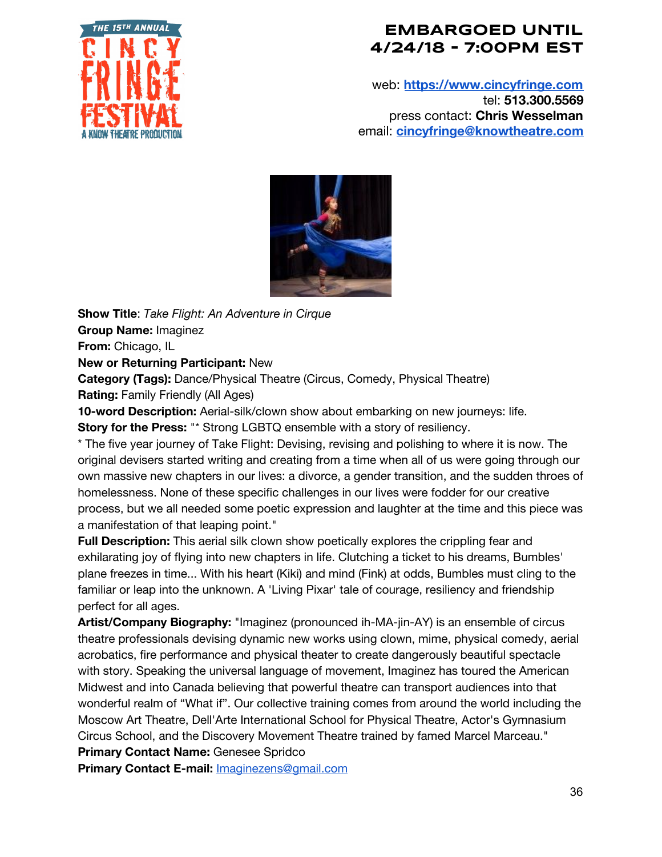

web: **[https://www.cincyfringe.com](https://www.cincyfringe.com/)** tel: **513.300.5569** press contact: **Chris Wesselman** email: **[cincyfringe@knowtheatre.com](mailto:cincyfringe@knowtheatre.com)**



**Show Title**: *Take Flight: An Adventure in Cirque* **Group Name:** Imaginez **From:** Chicago, IL **New or Returning Participant:** New

**Category (Tags):** Dance/Physical Theatre (Circus, Comedy, Physical Theatre) **Rating:** Family Friendly (All Ages)

**10-word Description:** Aerial-silk/clown show about embarking on new journeys: life.

**Story for the Press:** "\* Strong LGBTQ ensemble with a story of resiliency.

\* The five year journey of Take Flight: Devising, revising and polishing to where it is now. The original devisers started writing and creating from a time when all of us were going through our own massive new chapters in our lives: a divorce, a gender transition, and the sudden throes of homelessness. None of these specific challenges in our lives were fodder for our creative process, but we all needed some poetic expression and laughter at the time and this piece was a manifestation of that leaping point."

**Full Description:** This aerial silk clown show poetically explores the crippling fear and exhilarating joy of flying into new chapters in life. Clutching a ticket to his dreams, Bumbles' plane freezes in time... With his heart (Kiki) and mind (Fink) at odds, Bumbles must cling to the familiar or leap into the unknown. A 'Living Pixar' tale of courage, resiliency and friendship perfect for all ages.

**Artist/Company Biography:** "Imaginez (pronounced ih-MA-jin-AY) is an ensemble of circus theatre professionals devising dynamic new works using clown, mime, physical comedy, aerial acrobatics, fire performance and physical theater to create dangerously beautiful spectacle with story. Speaking the universal language of movement, Imaginez has toured the American Midwest and into Canada believing that powerful theatre can transport audiences into that wonderful realm of "What if". Our collective training comes from around the world including the Moscow Art Theatre, Dell'Arte International School for Physical Theatre, Actor's Gymnasium Circus School, and the Discovery Movement Theatre trained by famed Marcel Marceau."

**Primary Contact Name:** Genesee Spridco

**Primary Contact E-mail:** [Imaginezens@gmail.com](mailto:Imaginezens@gmail.com)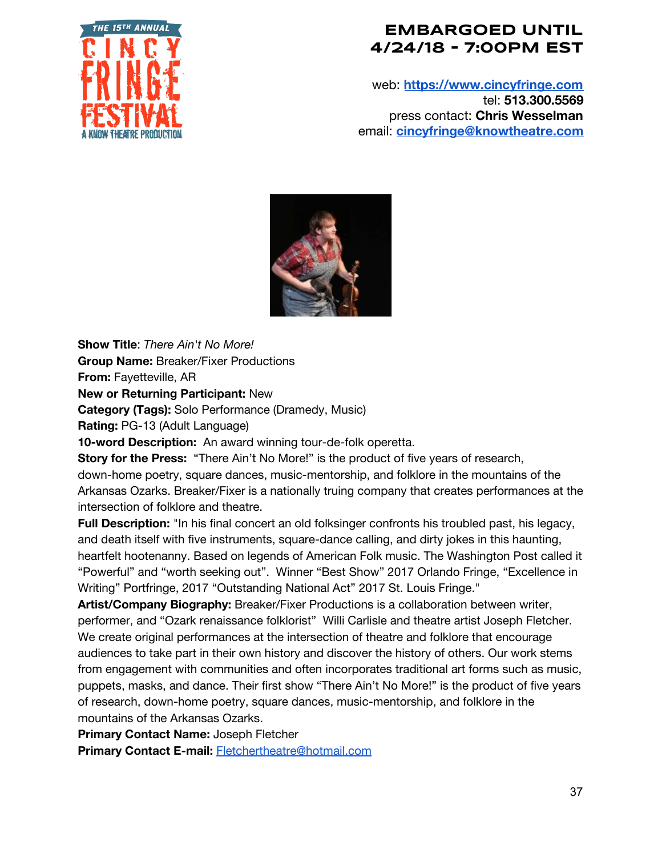

web: **[https://www.cincyfringe.com](https://www.cincyfringe.com/)** tel: **513.300.5569** press contact: **Chris Wesselman** email: **[cincyfringe@knowtheatre.com](mailto:cincyfringe@knowtheatre.com)**



**Show Title**: *There Ain't No More!* **Group Name:** Breaker/Fixer Productions **From:** Fayetteville, AR

**New or Returning Participant:** New

**Category (Tags):** Solo Performance (Dramedy, Music)

**Rating:** PG-13 (Adult Language)

**10-word Description:** An award winning tour-de-folk operetta.

**Story for the Press:** "There Ain't No More!" is the product of five years of research, down-home poetry, square dances, music-mentorship, and folklore in the mountains of the Arkansas Ozarks. Breaker/Fixer is a nationally truing company that creates performances at the intersection of folklore and theatre.

**Full Description:** "In his final concert an old folksinger confronts his troubled past, his legacy, and death itself with five instruments, square-dance calling, and dirty jokes in this haunting, heartfelt hootenanny. Based on legends of American Folk music. The Washington Post called it "Powerful" and "worth seeking out". Winner "Best Show" 2017 Orlando Fringe, "Excellence in Writing" Portfringe, 2017 "Outstanding National Act" 2017 St. Louis Fringe."

**Artist/Company Biography:** Breaker/Fixer Productions is a collaboration between writer, performer, and "Ozark renaissance folklorist" Willi Carlisle and theatre artist Joseph Fletcher. We create original performances at the intersection of theatre and folklore that encourage audiences to take part in their own history and discover the history of others. Our work stems from engagement with communities and often incorporates traditional art forms such as music, puppets, masks, and dance. Their first show "There Ain't No More!" is the product of five years of research, down-home poetry, square dances, music-mentorship, and folklore in the mountains of the Arkansas Ozarks.

**Primary Contact Name:** Joseph Fletcher

**Primary Contact E-mail:** [Fletchertheatre@hotmail.com](mailto:Fletchertheatre@hotmail.com)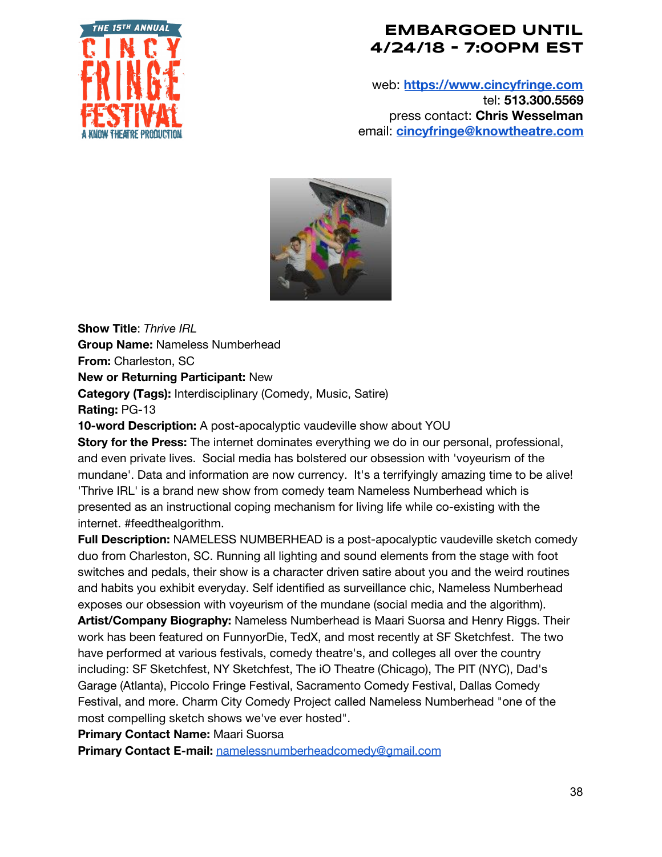

web: **[https://www.cincyfringe.com](https://www.cincyfringe.com/)** tel: **513.300.5569** press contact: **Chris Wesselman** email: **[cincyfringe@knowtheatre.com](mailto:cincyfringe@knowtheatre.com)**



**Show Title**: *Thrive IRL* **Group Name:** Nameless Numberhead **From:** Charleston, SC **New or Returning Participant:** New **Category (Tags):** Interdisciplinary (Comedy, Music, Satire) **Rating:** PG-13

**10-word Description:** A post-apocalyptic vaudeville show about YOU

**Story for the Press:** The internet dominates everything we do in our personal, professional, and even private lives. Social media has bolstered our obsession with 'voyeurism of the mundane'. Data and information are now currency. It's a terrifyingly amazing time to be alive! 'Thrive IRL' is a brand new show from comedy team Nameless Numberhead which is presented as an instructional coping mechanism for living life while co-existing with the internet. #feedthealgorithm.

**Full Description:** NAMELESS NUMBERHEAD is a post-apocalyptic vaudeville sketch comedy duo from Charleston, SC. Running all lighting and sound elements from the stage with foot switches and pedals, their show is a character driven satire about you and the weird routines and habits you exhibit everyday. Self identified as surveillance chic, Nameless Numberhead exposes our obsession with voyeurism of the mundane (social media and the algorithm). **Artist/Company Biography:** Nameless Numberhead is Maari Suorsa and Henry Riggs. Their work has been featured on FunnyorDie, TedX, and most recently at SF Sketchfest. The two have performed at various festivals, comedy theatre's, and colleges all over the country including: SF Sketchfest, NY Sketchfest, The iO Theatre (Chicago), The PIT (NYC), Dad's Garage (Atlanta), Piccolo Fringe Festival, Sacramento Comedy Festival, Dallas Comedy

Festival, and more. Charm City Comedy Project called Nameless Numberhead "one of the most compelling sketch shows we've ever hosted".

**Primary Contact Name:** Maari Suorsa

**Primary Contact E-mail:** [namelessnumberheadcomedy@gmail.com](mailto:namelessnumberheadcomedy@gmail.com)